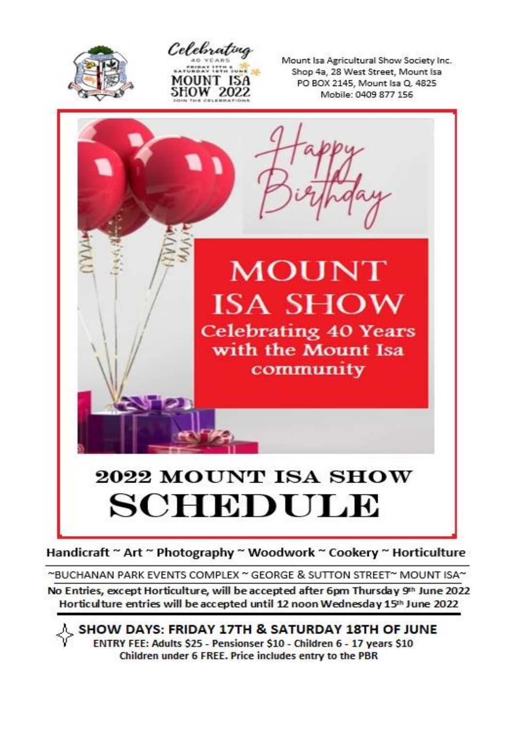



Mount Isa Agricultural Show Society Inc. Shop 4a, 28 West Street, Mount Isa PO BOX 2145, Mount Isa Q, 4825 Mobile: 0409 877 156



Handicraft ~ Art ~ Photography ~ Woodwork ~ Cookery ~ Horticulture

~BUCHANAN PARK EVENTS COMPLEX ~ GEORGE & SUTTON STREET~ MOUNT ISA~

No Entries, except Horticulture, will be accepted after 6pm Thursday 9th June 2022 Horticulture entries will be accepted until 12 noon Wednesday 15th June 2022

人 SHOW DAYS: FRIDAY 17TH & SATURDAY 18TH OF JUNE ENTRY FEE: Adults \$25 - Pensionser \$10 - Children 6 - 17 years \$10 Children under 6 FREE. Price includes entry to the PBR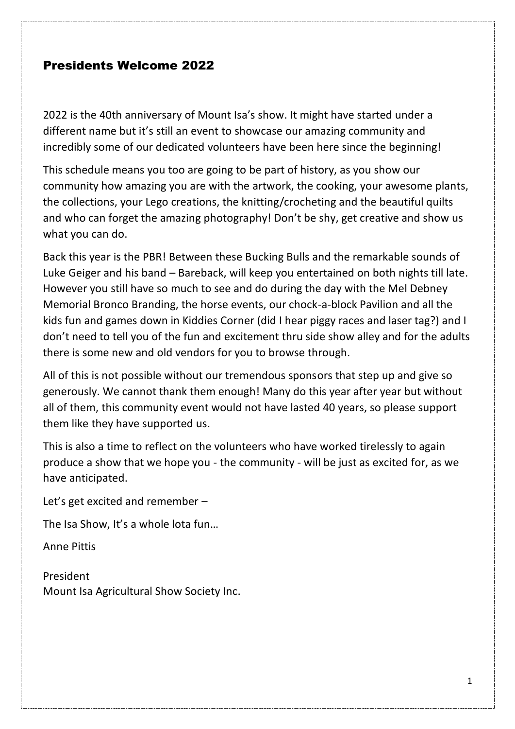### Presidents Welcome 2022

2022 is the 40th anniversary of Mount Isa's show. It might have started under a different name but it's still an event to showcase our amazing community and incredibly some of our dedicated volunteers have been here since the beginning!

This schedule means you too are going to be part of history, as you show our community how amazing you are with the artwork, the cooking, your awesome plants, the collections, your Lego creations, the knitting/crocheting and the beautiful quilts and who can forget the amazing photography! Don't be shy, get creative and show us what you can do.

Back this year is the PBR! Between these Bucking Bulls and the remarkable sounds of Luke Geiger and his band – Bareback, will keep you entertained on both nights till late. However you still have so much to see and do during the day with the Mel Debney Memorial Bronco Branding, the horse events, our chock-a-block Pavilion and all the kids fun and games down in Kiddies Corner (did I hear piggy races and laser tag?) and I don't need to tell you of the fun and excitement thru side show alley and for the adults there is some new and old vendors for you to browse through.

All of this is not possible without our tremendous sponsors that step up and give so generously. We cannot thank them enough! Many do this year after year but without all of them, this community event would not have lasted 40 years, so please support them like they have supported us.

This is also a time to reflect on the volunteers who have worked tirelessly to again produce a show that we hope you - the community - will be just as excited for, as we have anticipated.

Let's get excited and remember –

The Isa Show, It's a whole lota fun…

Anne Pittis

President Mount Isa Agricultural Show Society Inc.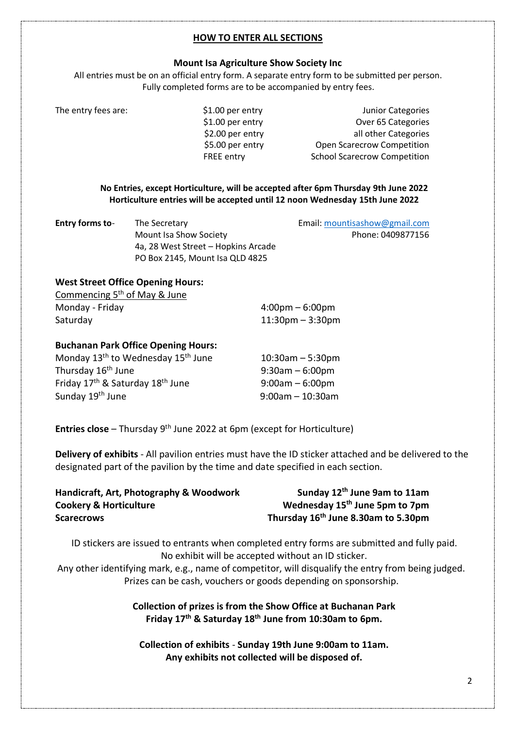#### **HOW TO ENTER ALL SECTIONS**

#### **Mount Isa Agriculture Show Society Inc**

All entries must be on an official entry form. A separate entry form to be submitted per person. Fully completed forms are to be accompanied by entry fees.

The entry fees are:  $$1.00$  per entry The entry Junior Categories \$1.00 per entry Over 65 Categories \$2.00 per entry all other Categories \$5.00 per entry Open Scarecrow Competition FREE entry School Scarecrow Competition

> **No Entries, except Horticulture, will be accepted after 6pm Thursday 9th June 2022 Horticulture entries will be accepted until 12 noon Wednesday 15th June 2022**

| <b>Entry forms to-</b> | The Secretary                       | Email: mountisashow@gmail.com |
|------------------------|-------------------------------------|-------------------------------|
|                        | Mount Isa Show Society              | Phone: 0409877156             |
|                        | 4a, 28 West Street – Hopkins Arcade |                               |
|                        | PO Box 2145, Mount Isa QLD 4825     |                               |

#### **West Street Office Opening Hours:**

| Commencing 5 <sup>th</sup> of May & June |                                   |
|------------------------------------------|-----------------------------------|
| Monday - Friday                          | $4:00 \text{pm} - 6:00 \text{pm}$ |
| Saturday                                 | $11:30$ pm – 3:30pm               |

#### **Buchanan Park Office Opening Hours:**

| Monday 13 <sup>th</sup> to Wednesday 15 <sup>th</sup> June | $10:30$ am $-5:30$ pm |
|------------------------------------------------------------|-----------------------|
| Thursday 16 <sup>th</sup> June                             | $9:30$ am – 6:00pm    |
| Friday 17 <sup>th</sup> & Saturday 18 <sup>th</sup> June   | $9:00am - 6:00pm$     |
| Sunday 19 <sup>th</sup> June                               | $9:00$ am - 10:30am   |

**Entries close** – Thursday 9<sup>th</sup> June 2022 at 6pm (except for Horticulture)

**Delivery of exhibits** - All pavilion entries must have the ID sticker attached and be delivered to the designated part of the pavilion by the time and date specified in each section.

| Handicraft, Art, Photography & Woodwork | Sunday 12 <sup>th</sup> June 9am to 11am        |
|-----------------------------------------|-------------------------------------------------|
| <b>Cookery &amp; Horticulture</b>       | Wednesday 15 <sup>th</sup> June 5pm to 7pm      |
| <b>Scarecrows</b>                       | Thursday 16 <sup>th</sup> June 8.30am to 5.30pm |

ID stickers are issued to entrants when completed entry forms are submitted and fully paid. No exhibit will be accepted without an ID sticker.

Any other identifying mark, e.g., name of competitor, will disqualify the entry from being judged. Prizes can be cash, vouchers or goods depending on sponsorship.

#### **Collection of prizes is from the Show Office at Buchanan Park Friday 17 th & Saturday 18 th June from 10:30am to 6pm.**

**Collection of exhibits** - **Sunday 19th June 9:00am to 11am. Any exhibits not collected will be disposed of.**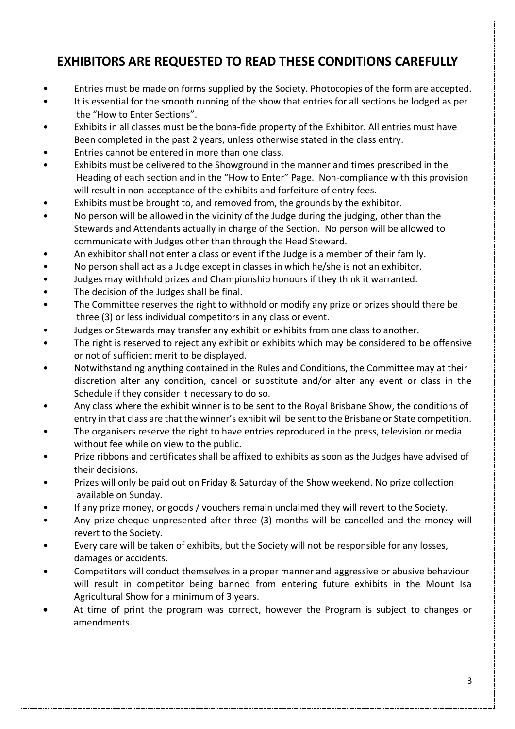## **EXHIBITORS ARE REQUESTED TO READ THESE CONDITIONS CAREFULLY**

- Entries must be made on forms supplied by the Society. Photocopies of the form are accepted.
- It is essential for the smooth running of the show that entries for all sections be lodged as per the "How to Enter Sections".
- Exhibits in all classes must be the bona-fide property of the Exhibitor. All entries must have Been completed in the past 2 years, unless otherwise stated in the class entry.
- Entries cannot be entered in more than one class.
- Exhibits must be delivered to the Showground in the manner and times prescribed in the Heading of each section and in the "How to Enter" Page. Non-compliance with this provision will result in non-acceptance of the exhibits and forfeiture of entry fees.
- Exhibits must be brought to, and removed from, the grounds by the exhibitor.
- No person will be allowed in the vicinity of the Judge during the judging, other than the Stewards and Attendants actually in charge of the Section. No person will be allowed to communicate with Judges other than through the Head Steward.
- An exhibitor shall not enter a class or event if the Judge is a member of their family.
- No person shall act as a Judge except in classes in which he/she is not an exhibitor.
- Judges may withhold prizes and Championship honours if they think it warranted.
- The decision of the Judges shall be final.
- The Committee reserves the right to withhold or modify any prize or prizes should there be three (3) or less individual competitors in any class or event.
- Judges or Stewards may transfer any exhibit or exhibits from one class to another.
- The right is reserved to reject any exhibit or exhibits which may be considered to be offensive or not of sufficient merit to be displayed.
- Notwithstanding anything contained in the Rules and Conditions, the Committee may at their discretion alter any condition, cancel or substitute and/or alter any event or class in the Schedule if they consider it necessary to do so.
- Any class where the exhibit winner is to be sent to the Royal Brisbane Show, the conditions of entry in that class are that the winner's exhibit will be sent to the Brisbane or State competition.
- The organisers reserve the right to have entries reproduced in the press, television or media without fee while on view to the public.
- Prize ribbons and certificates shall be affixed to exhibits as soon as the Judges have advised of their decisions.
- Prizes will only be paid out on Friday & Saturday of the Show weekend. No prize collection available on Sunday.
- If any prize money, or goods / vouchers remain unclaimed they will revert to the Society.
- Any prize cheque unpresented after three (3) months will be cancelled and the money will revert to the Society.
- Every care will be taken of exhibits, but the Society will not be responsible for any losses, damages or accidents.
- Competitors will conduct themselves in a proper manner and aggressive or abusive behaviour will result in competitor being banned from entering future exhibits in the Mount Isa Agricultural Show for a minimum of 3 years.
- At time of print the program was correct, however the Program is subject to changes or amendments.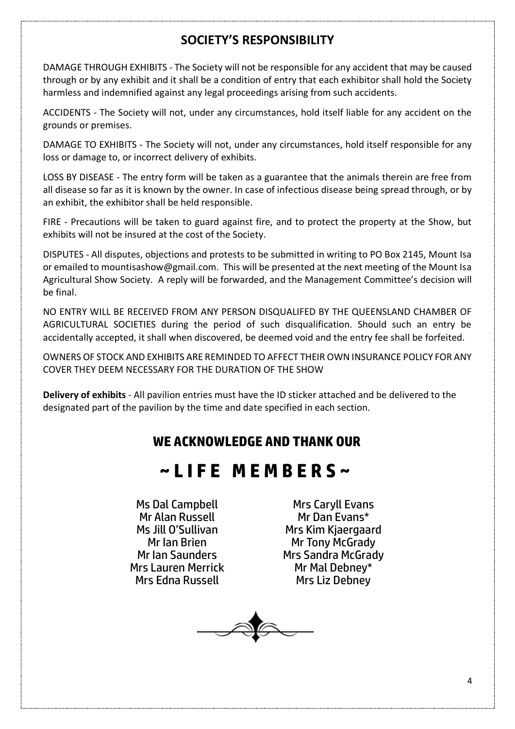## **SOCIETY'S RESPONSIBILITY**

DAMAGE THROUGH EXHIBITS - The Society will not be responsible for any accident that may be caused through or by any exhibit and it shall be a condition of entry that each exhibitor shall hold the Society harmless and indemnified against any legal proceedings arising from such accidents.

ACCIDENTS - The Society will not, under any circumstances, hold itself liable for any accident on the grounds or premises.

DAMAGE TO EXHIBITS - The Society will not, under any circumstances, hold itself responsible for any loss or damage to, or incorrect delivery of exhibits.

LOSS BY DISEASE - The entry form will be taken as a guarantee that the animals therein are free from all disease so far as it is known by the owner. In case of infectious disease being spread through, or by an exhibit, the exhibitor shall be held responsible.

FIRE - Precautions will be taken to guard against fire, and to protect the property at the Show, but exhibits will not be insured at the cost of the Society.

DISPUTES - All disputes, objections and protests to be submitted in writing to PO Box 2145, Mount Isa or emailed to mountisashow@gmail.com. This will be presented at the next meeting of the Mount Isa Agricultural Show Society. A reply will be forwarded, and the Management Committee's decision will be final.

NO ENTRY WILL BE RECEIVED FROM ANY PERSON DISQUALIFED BY THE QUEENSLAND CHAMBER OF AGRICULTURAL SOCIETIES during the period of such disqualification. Should such an entry be accidentally accepted, it shall when discovered, be deemed void and the entry fee shall be forfeited.

OWNERS OF STOCK AND EXHIBITS ARE REMINDED TO AFFECT THEIR OWN INSURANCE POLICY FOR ANY COVER THEY DEEM NECESSARY FOR THE DURATION OF THE SHOW

**Delivery of exhibits** - All pavilion entries must have the ID sticker attached and be delivered to the designated part of the pavilion by the time and date specified in each section.

## **WE ACKNOWLEDGE AND THANK OUR**

## **~ L I F E M E M B E R S ~**

Ms Dal Campbell Mr Alan Russell Ms Jill O'Sullivan Mr Ian Brien Mr Ian Saunders Mrs Lauren Merrick Mrs Edna Russell

Mrs Caryll Evans Mr Dan Evans\* Mrs Kim Kjaergaard Mr Tony McGrady Mrs Sandra McGrady Mr Mal Debney\* Mrs Liz Debney

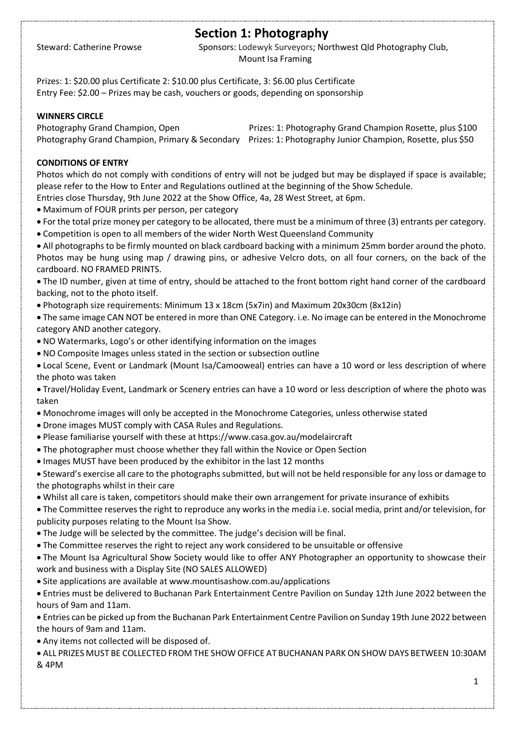## **Section 1: Photography**

Steward: Catherine Prowse Sponsors: Lodewyk Surveyors; Northwest Qld Photography Club, Mount Isa Framing

Prizes: 1: \$20.00 plus Certificate 2: \$10.00 plus Certificate, 3: \$6.00 plus Certificate Entry Fee: \$2.00 – Prizes may be cash, vouchers or goods, depending on sponsorship

#### **WINNERS CIRCLE**

Photography Grand Champion, Open Prizes: 1: Photography Grand Champion Rosette, plus \$100 Photography Grand Champion, Primary & Secondary Prizes: 1: Photography Junior Champion, Rosette, plus \$50

#### **CONDITIONS OF ENTRY**

Photos which do not comply with conditions of entry will not be judged but may be displayed if space is available; please refer to the How to Enter and Regulations outlined at the beginning of the Show Schedule.

- Entries close Thursday, 9th June 2022 at the Show Office, 4a, 28 West Street, at 6pm.
- Maximum of FOUR prints per person, per category
- For the total prize money per category to be allocated, there must be a minimum of three (3) entrants per category.
- Competition is open to all members of the wider North West Queensland Community
- All photographs to be firmly mounted on black cardboard backing with a minimum 25mm border around the photo. Photos may be hung using map / drawing pins, or adhesive Velcro dots, on all four corners, on the back of the cardboard. NO FRAMED PRINTS.
- The ID number, given at time of entry, should be attached to the front bottom right hand corner of the cardboard backing, not to the photo itself.
- Photograph size requirements: Minimum 13 x 18cm (5x7in) and Maximum 20x30cm (8x12in)
- The same image CAN NOT be entered in more than ONE Category. i.e. No image can be entered in the Monochrome category AND another category.
- NO Watermarks, Logo's or other identifying information on the images
- NO Composite Images unless stated in the section or subsection outline
- Local Scene, Event or Landmark (Mount Isa/Camooweal) entries can have a 10 word or less description of where the photo was taken
- Travel/Holiday Event, Landmark or Scenery entries can have a 10 word or less description of where the photo was taken
- Monochrome images will only be accepted in the Monochrome Categories, unless otherwise stated
- Drone images MUST comply with CASA Rules and Regulations.
- Please familiarise yourself with these at https://www.casa.gov.au/modelaircraft
- The photographer must choose whether they fall within the Novice or Open Section
- Images MUST have been produced by the exhibitor in the last 12 months
- Steward's exercise all care to the photographs submitted, but will not be held responsible for any loss or damage to the photographs whilst in their care
- Whilst all care is taken, competitors should make their own arrangement for private insurance of exhibits
- The Committee reserves the right to reproduce any works in the media i.e. social media, print and/or television, for publicity purposes relating to the Mount Isa Show.
- The Judge will be selected by the committee. The judge's decision will be final.
- The Committee reserves the right to reject any work considered to be unsuitable or offensive
- The Mount Isa Agricultural Show Society would like to offer ANY Photographer an opportunity to showcase their work and business with a Display Site (NO SALES ALLOWED)
- Site applications are available at www.mountisashow.com.au/applications
- Entries must be delivered to Buchanan Park Entertainment Centre Pavilion on Sunday 12th June 2022 between the hours of 9am and 11am.
- Entries can be picked up from the Buchanan Park Entertainment Centre Pavilion on Sunday 19th June 2022 between the hours of 9am and 11am.
- Any items not collected will be disposed of.
- ALL PRIZES MUST BE COLLECTED FROM THE SHOW OFFICE AT BUCHANAN PARK ON SHOW DAYS BETWEEN 10:30AM & 4PM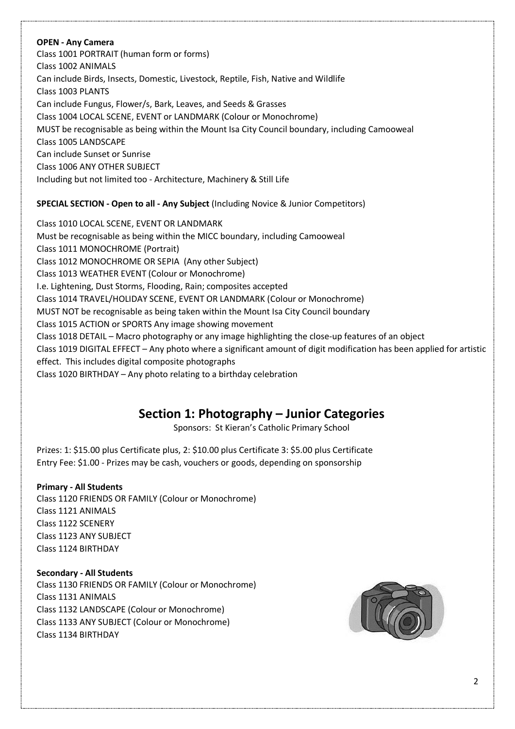#### **OPEN - Any Camera**

Class 1001 PORTRAIT (human form or forms) Class 1002 ANIMALS Can include Birds, Insects, Domestic, Livestock, Reptile, Fish, Native and Wildlife Class 1003 PLANTS Can include Fungus, Flower/s, Bark, Leaves, and Seeds & Grasses Class 1004 LOCAL SCENE, EVENT or LANDMARK (Colour or Monochrome) MUST be recognisable as being within the Mount Isa City Council boundary, including Camooweal Class 1005 LANDSCAPE Can include Sunset or Sunrise Class 1006 ANY OTHER SUBJECT Including but not limited too - Architecture, Machinery & Still Life

#### **SPECIAL SECTION - Open to all - Any Subject** (Including Novice & Junior Competitors)

Class 1010 LOCAL SCENE, EVENT OR LANDMARK Must be recognisable as being within the MICC boundary, including Camooweal Class 1011 MONOCHROME (Portrait) Class 1012 MONOCHROME OR SEPIA (Any other Subject) Class 1013 WEATHER EVENT (Colour or Monochrome) I.e. Lightening, Dust Storms, Flooding, Rain; composites accepted Class 1014 TRAVEL/HOLIDAY SCENE, EVENT OR LANDMARK (Colour or Monochrome) MUST NOT be recognisable as being taken within the Mount Isa City Council boundary Class 1015 ACTION or SPORTS Any image showing movement Class 1018 DETAIL – Macro photography or any image highlighting the close-up features of an object Class 1019 DIGITAL EFFECT – Any photo where a significant amount of digit modification has been applied for artistic effect. This includes digital composite photographs Class 1020 BIRTHDAY – Any photo relating to a birthday celebration

### **Section 1: Photography – Junior Categories**

Sponsors: St Kieran's Catholic Primary School

Prizes: 1: \$15.00 plus Certificate plus, 2: \$10.00 plus Certificate 3: \$5.00 plus Certificate Entry Fee: \$1.00 - Prizes may be cash, vouchers or goods, depending on sponsorship

**Primary - All Students** Class 1120 FRIENDS OR FAMILY (Colour or Monochrome) Class 1121 ANIMALS Class 1122 SCENERY Class 1123 ANY SUBJECT Class 1124 BIRTHDAY

#### **Secondary - All Students**

Class 1130 FRIENDS OR FAMILY (Colour or Monochrome) Class 1131 ANIMALS Class 1132 LANDSCAPE (Colour or Monochrome) Class 1133 ANY SUBJECT (Colour or Monochrome) Class 1134 BIRTHDAY

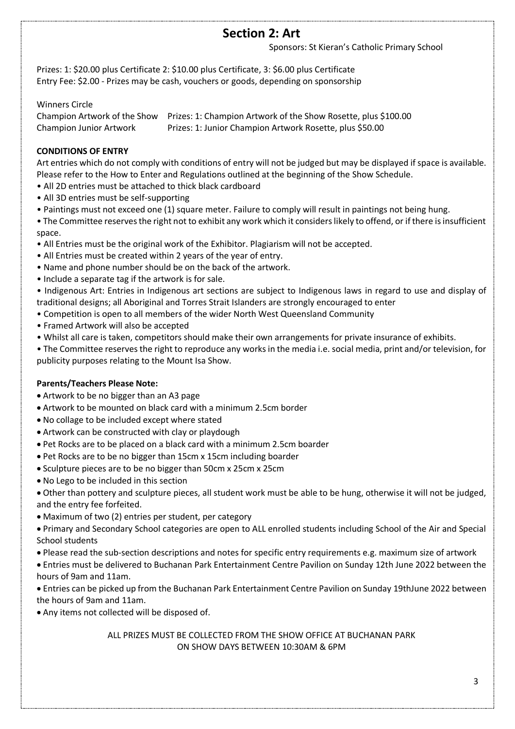## **Section 2: Art**

Sponsors: St Kieran's Catholic Primary School

Prizes: 1: \$20.00 plus Certificate 2: \$10.00 plus Certificate, 3: \$6.00 plus Certificate Entry Fee: \$2.00 - Prizes may be cash, vouchers or goods, depending on sponsorship

Winners Circle

Champion Artwork of the Show Prizes: 1: Champion Artwork of the Show Rosette, plus \$100.00 Champion Junior Artwork Prizes: 1: Junior Champion Artwork Rosette, plus \$50.00

#### **CONDITIONS OF ENTRY**

Art entries which do not comply with conditions of entry will not be judged but may be displayed if space is available. Please refer to the How to Enter and Regulations outlined at the beginning of the Show Schedule.

- All 2D entries must be attached to thick black cardboard
- All 3D entries must be self-supporting
- Paintings must not exceed one (1) square meter. Failure to comply will result in paintings not being hung.

• The Committee reserves the right not to exhibit any work which it considers likely to offend, or if there is insufficient space.

- All Entries must be the original work of the Exhibitor. Plagiarism will not be accepted.
- All Entries must be created within 2 years of the year of entry.
- Name and phone number should be on the back of the artwork.
- Include a separate tag if the artwork is for sale.

• Indigenous Art: Entries in Indigenous art sections are subject to Indigenous laws in regard to use and display of traditional designs; all Aboriginal and Torres Strait Islanders are strongly encouraged to enter

- Competition is open to all members of the wider North West Queensland Community
- Framed Artwork will also be accepted
- Whilst all care is taken, competitors should make their own arrangements for private insurance of exhibits.

• The Committee reserves the right to reproduce any works in the media i.e. social media, print and/or television, for publicity purposes relating to the Mount Isa Show.

#### **Parents/Teachers Please Note:**

- Artwork to be no bigger than an A3 page
- Artwork to be mounted on black card with a minimum 2.5cm border
- No collage to be included except where stated
- Artwork can be constructed with clay or playdough
- Pet Rocks are to be placed on a black card with a minimum 2.5cm boarder
- Pet Rocks are to be no bigger than 15cm x 15cm including boarder
- Sculpture pieces are to be no bigger than 50cm x 25cm x 25cm
- No Lego to be included in this section
- Other than pottery and sculpture pieces, all student work must be able to be hung, otherwise it will not be judged, and the entry fee forfeited.
- Maximum of two (2) entries per student, per category

• Primary and Secondary School categories are open to ALL enrolled students including School of the Air and Special School students

• Please read the sub-section descriptions and notes for specific entry requirements e.g. maximum size of artwork

• Entries must be delivered to Buchanan Park Entertainment Centre Pavilion on Sunday 12th June 2022 between the hours of 9am and 11am.

• Entries can be picked up from the Buchanan Park Entertainment Centre Pavilion on Sunday 19thJune 2022 between the hours of 9am and 11am.

• Any items not collected will be disposed of.

ALL PRIZES MUST BE COLLECTED FROM THE SHOW OFFICE AT BUCHANAN PARK ON SHOW DAYS BETWEEN 10:30AM & 6PM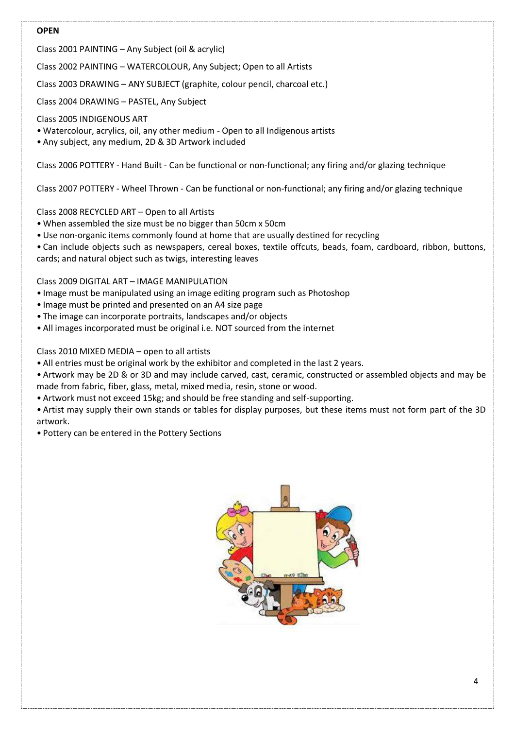#### **OPEN**

Class 2001 PAINTING – Any Subject (oil & acrylic)

Class 2002 PAINTING – WATERCOLOUR, Any Subject; Open to all Artists

Class 2003 DRAWING – ANY SUBJECT (graphite, colour pencil, charcoal etc.)

Class 2004 DRAWING – PASTEL, Any Subject

Class 2005 INDIGENOUS ART

- Watercolour, acrylics, oil, any other medium Open to all Indigenous artists
- Any subject, any medium, 2D & 3D Artwork included

Class 2006 POTTERY - Hand Built - Can be functional or non-functional; any firing and/or glazing technique

Class 2007 POTTERY - Wheel Thrown - Can be functional or non-functional; any firing and/or glazing technique

Class 2008 RECYCLED ART – Open to all Artists

- When assembled the size must be no bigger than 50cm x 50cm
- •Use non-organic items commonly found at home that are usually destined for recycling
- Can include objects such as newspapers, cereal boxes, textile offcuts, beads, foam, cardboard, ribbon, buttons, cards; and natural object such as twigs, interesting leaves

Class 2009 DIGITAL ART – IMAGE MANIPULATION

- Image must be manipulated using an image editing program such as Photoshop
- Image must be printed and presented on an A4 size page
- The image can incorporate portraits, landscapes and/or objects
- All images incorporated must be original i.e. NOT sourced from the internet

#### Class 2010 MIXED MEDIA – open to all artists

- All entries must be original work by the exhibitor and completed in the last 2 years.
- Artwork may be 2D & or 3D and may include carved, cast, ceramic, constructed or assembled objects and may be made from fabric, fiber, glass, metal, mixed media, resin, stone or wood.
- Artwork must not exceed 15kg; and should be free standing and self-supporting.
- Artist may supply their own stands or tables for display purposes, but these items must not form part of the 3D artwork.
- Pottery can be entered in the Pottery Sections

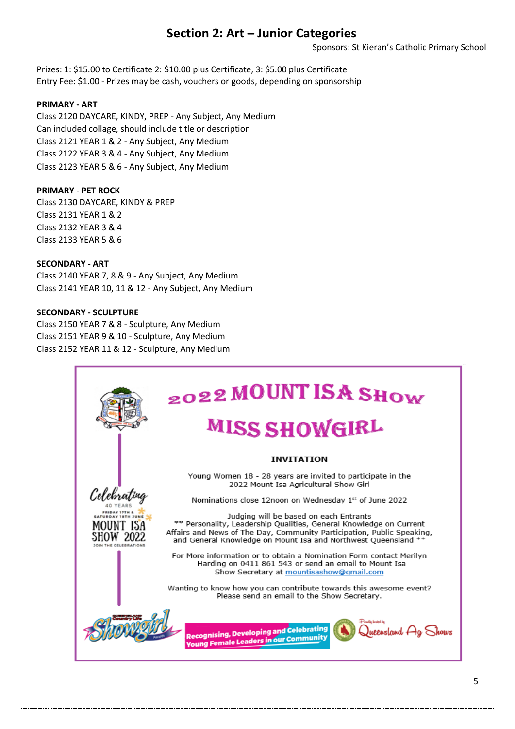### **Section 2: Art – Junior Categories**

Sponsors: St Kieran's Catholic Primary School

Prizes: 1: \$15.00 to Certificate 2: \$10.00 plus Certificate, 3: \$5.00 plus Certificate Entry Fee: \$1.00 - Prizes may be cash, vouchers or goods, depending on sponsorship

#### **PRIMARY - ART**

Class 2120 DAYCARE, KINDY, PREP - Any Subject, Any Medium Can included collage, should include title or description Class 2121 YEAR 1 & 2 - Any Subject, Any Medium Class 2122 YEAR 3 & 4 - Any Subject, Any Medium Class 2123 YEAR 5 & 6 - Any Subject, Any Medium

#### **PRIMARY - PET ROCK**

Class 2130 DAYCARE, KINDY & PREP Class 2131 YEAR 1 & 2 Class 2132 YEAR 3 & 4 Class 2133 YEAR 5 & 6

#### **SECONDARY - ART**

Class 2140 YEAR 7, 8 & 9 - Any Subject, Any Medium Class 2141 YEAR 10, 11 & 12 - Any Subject, Any Medium

#### **SECONDARY - SCULPTURE**

Class 2150 YEAR 7 & 8 - Sculpture, Any Medium Class 2151 YEAR 9 & 10 - Sculpture, Any Medium Class 2152 YEAR 11 & 12 - Sculpture, Any Medium

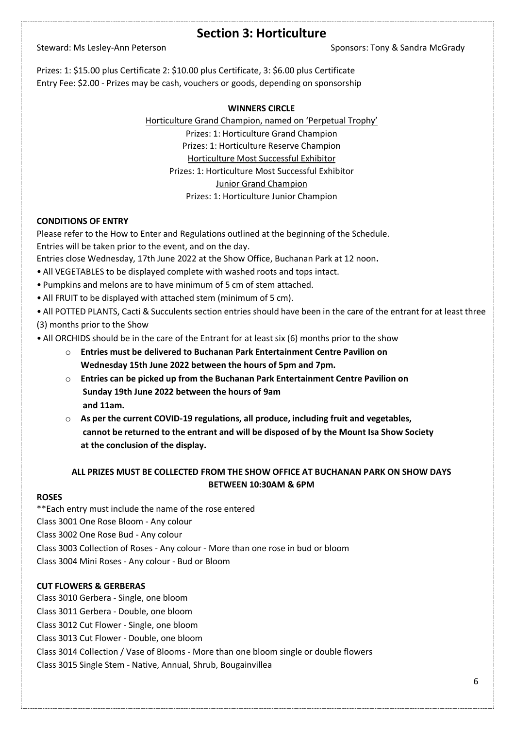### **Section 3: Horticulture**

Steward: Ms Lesley-Ann Peterson Sponsors: Tony & Sandra McGrady

Prizes: 1: \$15.00 plus Certificate 2: \$10.00 plus Certificate, 3: \$6.00 plus Certificate Entry Fee: \$2.00 - Prizes may be cash, vouchers or goods, depending on sponsorship

#### **WINNERS CIRCLE**

Horticulture Grand Champion, named on 'Perpetual Trophy' Prizes: 1: Horticulture Grand Champion Prizes: 1: Horticulture Reserve Champion Horticulture Most Successful Exhibitor Prizes: 1: Horticulture Most Successful Exhibitor Junior Grand Champion Prizes: 1: Horticulture Junior Champion

#### **CONDITIONS OF ENTRY**

Please refer to the How to Enter and Regulations outlined at the beginning of the Schedule. Entries will be taken prior to the event, and on the day.

Entries close Wednesday, 17th June 2022 at the Show Office, Buchanan Park at 12 noon**.**

- All VEGETABLES to be displayed complete with washed roots and tops intact.
- Pumpkins and melons are to have minimum of 5 cm of stem attached.
- All FRUIT to be displayed with attached stem (minimum of 5 cm).

• All POTTED PLANTS, Cacti & Succulents section entries should have been in the care of the entrant for at least three (3) months prior to the Show

• All ORCHIDS should be in the care of the Entrant for at least six (6) months prior to the show

- o **Entries must be delivered to Buchanan Park Entertainment Centre Pavilion on Wednesday 15th June 2022 between the hours of 5pm and 7pm.**
- o **Entries can be picked up from the Buchanan Park Entertainment Centre Pavilion on Sunday 19th June 2022 between the hours of 9am and 11am.**
- o **As per the current COVID-19 regulations, all produce, including fruit and vegetables, cannot be returned to the entrant and will be disposed of by the Mount Isa Show Society at the conclusion of the display.**

#### **ALL PRIZES MUST BE COLLECTED FROM THE SHOW OFFICE AT BUCHANAN PARK ON SHOW DAYS BETWEEN 10:30AM & 6PM**

#### **ROSES**

\*\*Each entry must include the name of the rose entered Class 3001 One Rose Bloom - Any colour Class 3002 One Rose Bud - Any colour Class 3003 Collection of Roses - Any colour - More than one rose in bud or bloom Class 3004 Mini Roses - Any colour - Bud or Bloom

#### **CUT FLOWERS & GERBERAS**

Class 3010 Gerbera - Single, one bloom Class 3011 Gerbera - Double, one bloom Class 3012 Cut Flower - Single, one bloom Class 3013 Cut Flower - Double, one bloom Class 3014 Collection / Vase of Blooms - More than one bloom single or double flowers Class 3015 Single Stem - Native, Annual, Shrub, Bougainvillea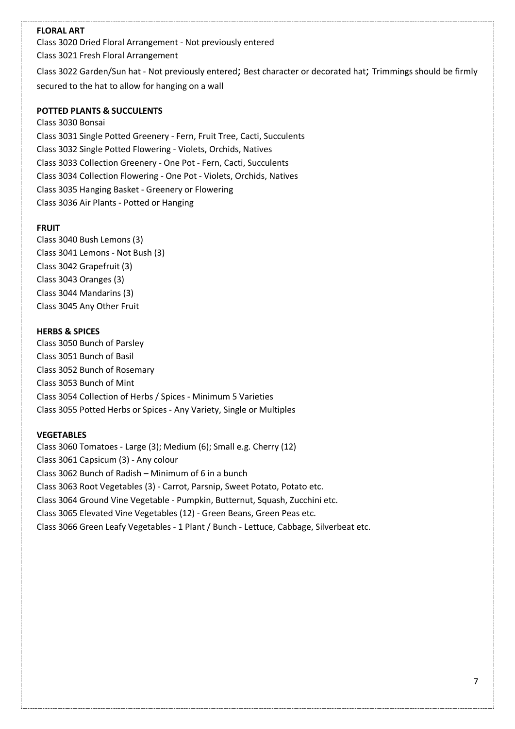#### **FLORAL ART**

Class 3020 Dried Floral Arrangement - Not previously entered Class 3021 Fresh Floral Arrangement

Class 3022 Garden/Sun hat - Not previously entered; Best character or decorated hat; Trimmings should be firmly secured to the hat to allow for hanging on a wall

#### **POTTED PLANTS & SUCCULENTS**

Class 3030 Bonsai Class 3031 Single Potted Greenery - Fern, Fruit Tree, Cacti, Succulents Class 3032 Single Potted Flowering - Violets, Orchids, Natives Class 3033 Collection Greenery - One Pot - Fern, Cacti, Succulents Class 3034 Collection Flowering - One Pot - Violets, Orchids, Natives Class 3035 Hanging Basket - Greenery or Flowering Class 3036 Air Plants - Potted or Hanging

#### **FRUIT**

Class 3040 Bush Lemons (3) Class 3041 Lemons - Not Bush (3) Class 3042 Grapefruit (3) Class 3043 Oranges (3) Class 3044 Mandarins (3) Class 3045 Any Other Fruit

#### **HERBS & SPICES**

Class 3050 Bunch of Parsley Class 3051 Bunch of Basil Class 3052 Bunch of Rosemary Class 3053 Bunch of Mint Class 3054 Collection of Herbs / Spices - Minimum 5 Varieties Class 3055 Potted Herbs or Spices - Any Variety, Single or Multiples

#### **VEGETABLES**

Class 3060 Tomatoes - Large (3); Medium (6); Small e.g. Cherry (12) Class 3061 Capsicum (3) - Any colour Class 3062 Bunch of Radish – Minimum of 6 in a bunch Class 3063 Root Vegetables (3) - Carrot, Parsnip, Sweet Potato, Potato etc. Class 3064 Ground Vine Vegetable - Pumpkin, Butternut, Squash, Zucchini etc. Class 3065 Elevated Vine Vegetables (12) - Green Beans, Green Peas etc. Class 3066 Green Leafy Vegetables - 1 Plant / Bunch - Lettuce, Cabbage, Silverbeat etc.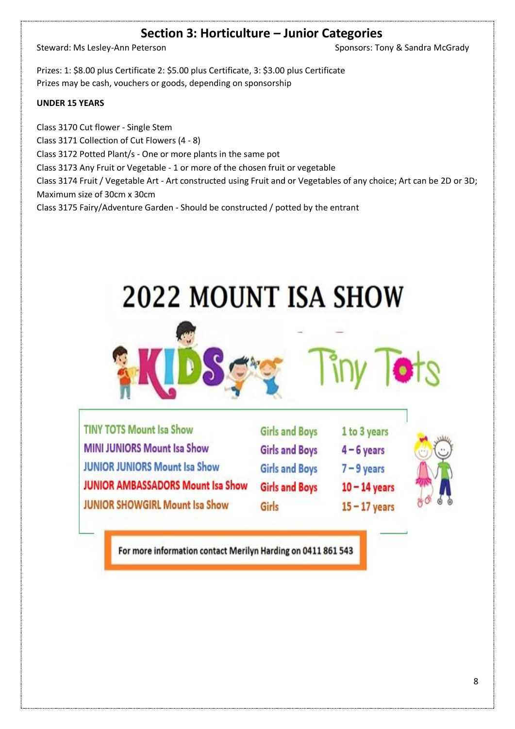## **Section 3: Horticulture – Junior Categories**

Steward: Ms Lesley-Ann Peterson Sponsors: Tony & Sandra McGrady

Prizes: 1: \$8.00 plus Certificate 2: \$5.00 plus Certificate, 3: \$3.00 plus Certificate Prizes may be cash, vouchers or goods, depending on sponsorship

#### **UNDER 15 YEARS**

Class 3170 Cut flower - Single Stem Class 3171 Collection of Cut Flowers (4 - 8) Class 3172 Potted Plant/s - One or more plants in the same pot Class 3173 Any Fruit or Vegetable - 1 or more of the chosen fruit or vegetable Class 3174 Fruit / Vegetable Art - Art constructed using Fruit and or Vegetables of any choice; Art can be 2D or 3D; Maximum size of 30cm x 30cm Class 3175 Fairy/Adventure Garden - Should be constructed / potted by the entrant

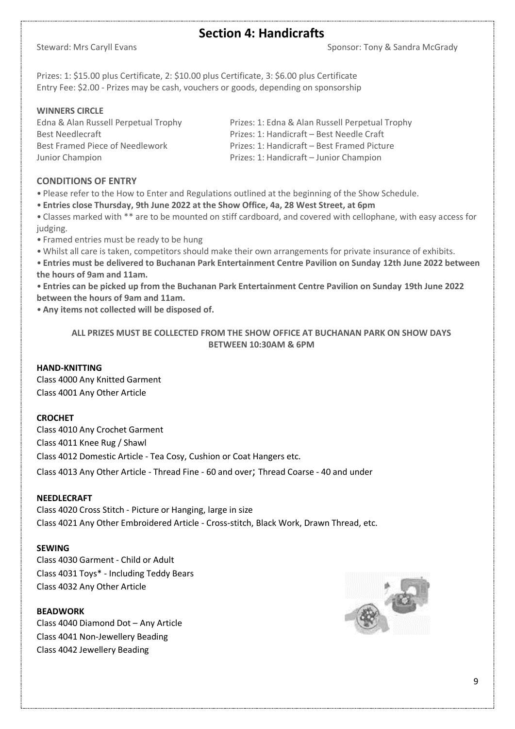### **Section 4: Handicrafts**

Steward: Mrs Caryll Evans Sponsor: Tony & Sandra McGrady

Prizes: 1: \$15.00 plus Certificate, 2: \$10.00 plus Certificate, 3: \$6.00 plus Certificate Entry Fee: \$2.00 - Prizes may be cash, vouchers or goods, depending on sponsorship

#### **WINNERS CIRCLE**

Junior Champion Prizes: 1: Handicraft – Junior Champion

Edna & Alan Russell Perpetual Trophy Prizes: 1: Edna & Alan Russell Perpetual Trophy Best Needlecraft **Prizes: 1: Handicraft – Best Needle Craft** Best Framed Piece of Needlework Prizes: 1: Handicraft – Best Framed Picture

#### **CONDITIONS OF ENTRY**

• Please refer to the How to Enter and Regulations outlined at the beginning of the Show Schedule.

• **Entries close Thursday, 9th June 2022 at the Show Office, 4a, 28 West Street, at 6pm**

• Classes marked with \*\* are to be mounted on stiff cardboard, and covered with cellophane, with easy access for judging.

- Framed entries must be ready to be hung
- Whilst all care is taken, competitors should make their own arrangements for private insurance of exhibits.

• **Entries must be delivered to Buchanan Park Entertainment Centre Pavilion on Sunday 12th June 2022 between the hours of 9am and 11am.**

• **Entries can be picked up from the Buchanan Park Entertainment Centre Pavilion on Sunday 19th June 2022 between the hours of 9am and 11am.**

• **Any items not collected will be disposed of.**

**ALL PRIZES MUST BE COLLECTED FROM THE SHOW OFFICE AT BUCHANAN PARK ON SHOW DAYS BETWEEN 10:30AM & 6PM**

#### **HAND-KNITTING**

Class 4000 Any Knitted Garment Class 4001 Any Other Article

#### **CROCHET**

Class 4010 Any Crochet Garment Class 4011 Knee Rug / Shawl Class 4012 Domestic Article - Tea Cosy, Cushion or Coat Hangers etc. Class 4013 Any Other Article - Thread Fine - 60 and over; Thread Coarse - 40 and under

#### **NEEDLECRAFT**

Class 4020 Cross Stitch - Picture or Hanging, large in size Class 4021 Any Other Embroidered Article - Cross-stitch, Black Work, Drawn Thread, etc.

#### **SEWING**

Class 4030 Garment - Child or Adult Class 4031 Toys\* - Including Teddy Bears Class 4032 Any Other Article

#### **BEADWORK**

Class 4040 Diamond Dot – Any Article Class 4041 Non-Jewellery Beading Class 4042 Jewellery Beading

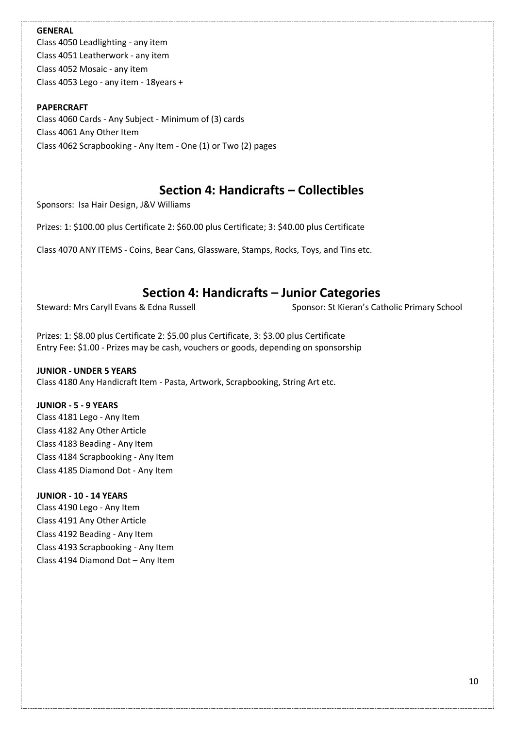#### **GENERAL**

Class 4050 Leadlighting - any item Class 4051 Leatherwork - any item Class 4052 Mosaic - any item Class 4053 Lego - any item - 18years +

#### **PAPERCRAFT**

Class 4060 Cards - Any Subject - Minimum of (3) cards Class 4061 Any Other Item Class 4062 Scrapbooking - Any Item - One (1) or Two (2) pages

### **Section 4: Handicrafts – Collectibles**

Sponsors: Isa Hair Design, J&V Williams

Prizes: 1: \$100.00 plus Certificate 2: \$60.00 plus Certificate; 3: \$40.00 plus Certificate

Class 4070 ANY ITEMS - Coins, Bear Cans, Glassware, Stamps, Rocks, Toys, and Tins etc.

## **Section 4: Handicrafts – Junior Categories**

Steward: Mrs Caryll Evans & Edna Russell Sponsor: St Kieran's Catholic Primary School

Prizes: 1: \$8.00 plus Certificate 2: \$5.00 plus Certificate, 3: \$3.00 plus Certificate Entry Fee: \$1.00 - Prizes may be cash, vouchers or goods, depending on sponsorship

#### **JUNIOR - UNDER 5 YEARS**

Class 4180 Any Handicraft Item - Pasta, Artwork, Scrapbooking, String Art etc.

#### **JUNIOR - 5 - 9 YEARS**

Class 4181 Lego - Any Item Class 4182 Any Other Article Class 4183 Beading - Any Item Class 4184 Scrapbooking - Any Item Class 4185 Diamond Dot - Any Item

#### **JUNIOR - 10 - 14 YEARS**

Class 4190 Lego - Any Item Class 4191 Any Other Article Class 4192 Beading - Any Item Class 4193 Scrapbooking - Any Item Class 4194 Diamond Dot – Any Item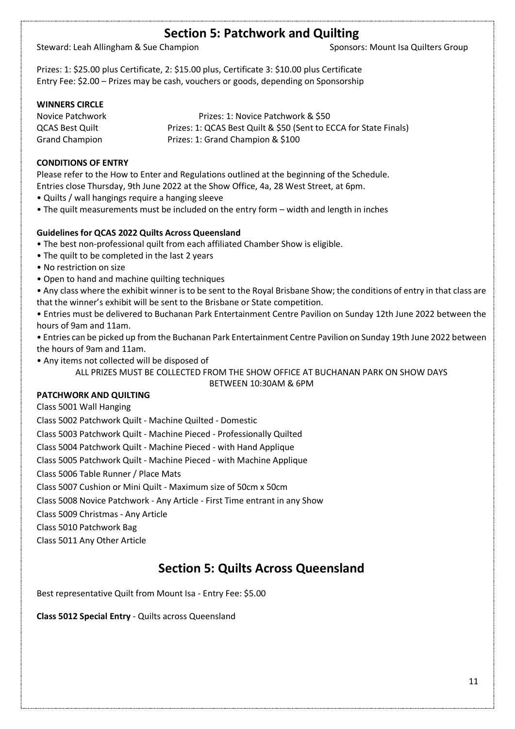### **Section 5: Patchwork and Quilting**

Steward: Leah Allingham & Sue Champion Steward: Leah Allingham & Sue Champion Sponsors: Mount Isa Quilters Group

Prizes: 1: \$25.00 plus Certificate, 2: \$15.00 plus, Certificate 3: \$10.00 plus Certificate Entry Fee: \$2.00 – Prizes may be cash, vouchers or goods, depending on Sponsorship

#### **WINNERS CIRCLE**

Novice Patchwork Prizes: 1: Novice Patchwork & \$50 QCAS Best Quilt Prizes: 1: QCAS Best Quilt & \$50 (Sent to ECCA for State Finals) Grand Champion Prizes: 1: Grand Champion & \$100

#### **CONDITIONS OF ENTRY**

Please refer to the How to Enter and Regulations outlined at the beginning of the Schedule. Entries close Thursday, 9th June 2022 at the Show Office, 4a, 28 West Street, at 6pm.

- Quilts / wall hangings require a hanging sleeve
- The quilt measurements must be included on the entry form width and length in inches

#### **Guidelines for QCAS 2022 Quilts Across Queensland**

- The best non-professional quilt from each affiliated Chamber Show is eligible.
- The quilt to be completed in the last 2 years
- No restriction on size
- Open to hand and machine quilting techniques

• Any class where the exhibit winner is to be sent to the Royal Brisbane Show; the conditions of entry in that class are that the winner's exhibit will be sent to the Brisbane or State competition.

• Entries must be delivered to Buchanan Park Entertainment Centre Pavilion on Sunday 12th June 2022 between the hours of 9am and 11am.

• Entries can be picked up from the Buchanan Park Entertainment Centre Pavilion on Sunday 19th June 2022 between the hours of 9am and 11am.

• Any items not collected will be disposed of

ALL PRIZES MUST BE COLLECTED FROM THE SHOW OFFICE AT BUCHANAN PARK ON SHOW DAYS BETWEEN 10:30AM & 6PM

#### **PATCHWORK AND QUILTING**

Class 5001 Wall Hanging

Class 5002 Patchwork Quilt - Machine Quilted - Domestic

Class 5003 Patchwork Quilt - Machine Pieced - Professionally Quilted

Class 5004 Patchwork Quilt - Machine Pieced - with Hand Applique

Class 5005 Patchwork Quilt - Machine Pieced - with Machine Applique

Class 5006 Table Runner / Place Mats

Class 5007 Cushion or Mini Quilt - Maximum size of 50cm x 50cm

Class 5008 Novice Patchwork - Any Article - First Time entrant in any Show

Class 5009 Christmas - Any Article

Class 5010 Patchwork Bag

Class 5011 Any Other Article

### **Section 5: Quilts Across Queensland**

Best representative Quilt from Mount Isa - Entry Fee: \$5.00

**Class 5012 Special Entry** - Quilts across Queensland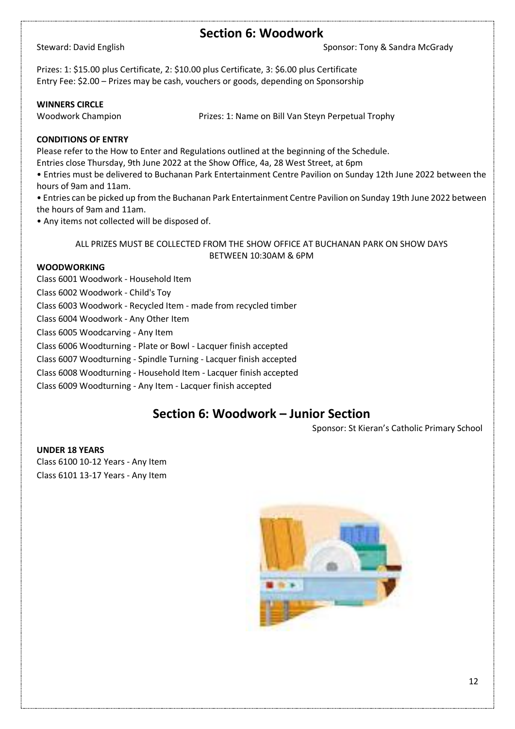### **Section 6: Woodwork**

Steward: David English Sponsor: Tony & Sandra McGrady

Prizes: 1: \$15.00 plus Certificate, 2: \$10.00 plus Certificate, 3: \$6.00 plus Certificate Entry Fee: \$2.00 – Prizes may be cash, vouchers or goods, depending on Sponsorship

#### **WINNERS CIRCLE**

Woodwork Champion **Prizes: 1: Name on Bill Van Steyn Perpetual Trophy** 

#### **CONDITIONS OF ENTRY**

Please refer to the How to Enter and Regulations outlined at the beginning of the Schedule.

Entries close Thursday, 9th June 2022 at the Show Office, 4a, 28 West Street, at 6pm

• Entries must be delivered to Buchanan Park Entertainment Centre Pavilion on Sunday 12th June 2022 between the hours of 9am and 11am.

• Entries can be picked up from the Buchanan Park Entertainment Centre Pavilion on Sunday 19th June 2022 between the hours of 9am and 11am.

• Any items not collected will be disposed of.

ALL PRIZES MUST BE COLLECTED FROM THE SHOW OFFICE AT BUCHANAN PARK ON SHOW DAYS BETWEEN 10:30AM & 6PM

#### **WOODWORKING**

Class 6001 Woodwork - Household Item Class 6002 Woodwork - Child's Toy Class 6003 Woodwork - Recycled Item - made from recycled timber Class 6004 Woodwork - Any Other Item Class 6005 Woodcarving - Any Item Class 6006 Woodturning - Plate or Bowl - Lacquer finish accepted Class 6007 Woodturning - Spindle Turning - Lacquer finish accepted Class 6008 Woodturning - Household Item - Lacquer finish accepted Class 6009 Woodturning - Any Item - Lacquer finish accepted

## **Section 6: Woodwork – Junior Section**

Sponsor: St Kieran's Catholic Primary School

**UNDER 18 YEARS** Class 6100 10-12 Years - Any Item Class 6101 13-17 Years - Any Item

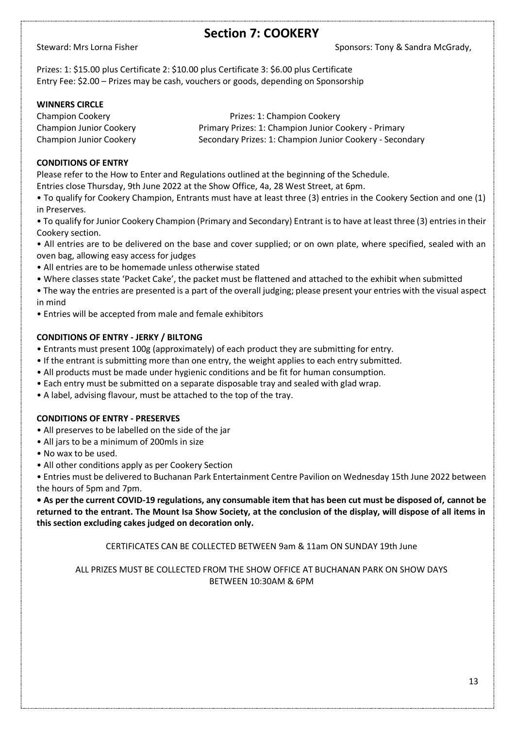### **Section 7: COOKERY**

Steward: Mrs Lorna Fisher Sponsors: Tony & Sandra McGrady,

Prizes: 1: \$15.00 plus Certificate 2: \$10.00 plus Certificate 3: \$6.00 plus Certificate Entry Fee: \$2.00 – Prizes may be cash, vouchers or goods, depending on Sponsorship

#### **WINNERS CIRCLE**

Champion Cookery Prizes: 1: Champion Cookery Champion Junior Cookery Primary Prizes: 1: Champion Junior Cookery - Primary Champion Junior Cookery Secondary Prizes: 1: Champion Junior Cookery - Secondary

#### **CONDITIONS OF ENTRY**

Please refer to the How to Enter and Regulations outlined at the beginning of the Schedule.

Entries close Thursday, 9th June 2022 at the Show Office, 4a, 28 West Street, at 6pm.

• To qualify for Cookery Champion, Entrants must have at least three (3) entries in the Cookery Section and one (1) in Preserves.

• To qualify for Junior Cookery Champion (Primary and Secondary) Entrant is to have at least three (3) entries in their Cookery section.

- All entries are to be delivered on the base and cover supplied; or on own plate, where specified, sealed with an oven bag, allowing easy access for judges
- All entries are to be homemade unless otherwise stated
- Where classes state 'Packet Cake', the packet must be flattened and attached to the exhibit when submitted
- The way the entries are presented is a part of the overall judging; please present your entries with the visual aspect in mind
- Entries will be accepted from male and female exhibitors

#### **CONDITIONS OF ENTRY - JERKY / BILTONG**

- Entrants must present 100g (approximately) of each product they are submitting for entry.
- If the entrant is submitting more than one entry, the weight applies to each entry submitted.
- All products must be made under hygienic conditions and be fit for human consumption.
- Each entry must be submitted on a separate disposable tray and sealed with glad wrap.
- A label, advising flavour, must be attached to the top of the tray.

#### **CONDITIONS OF ENTRY - PRESERVES**

- All preserves to be labelled on the side of the jar
- All jars to be a minimum of 200mls in size
- No wax to be used.
- All other conditions apply as per Cookery Section

• Entries must be delivered to Buchanan Park Entertainment Centre Pavilion on Wednesday 15th June 2022 between the hours of 5pm and 7pm.

**• As per the current COVID-19 regulations, any consumable item that has been cut must be disposed of, cannot be returned to the entrant. The Mount Isa Show Society, at the conclusion of the display, will dispose of all items in this section excluding cakes judged on decoration only.**

CERTIFICATES CAN BE COLLECTED BETWEEN 9am & 11am ON SUNDAY 19th June

#### ALL PRIZES MUST BE COLLECTED FROM THE SHOW OFFICE AT BUCHANAN PARK ON SHOW DAYS BETWEEN 10:30AM & 6PM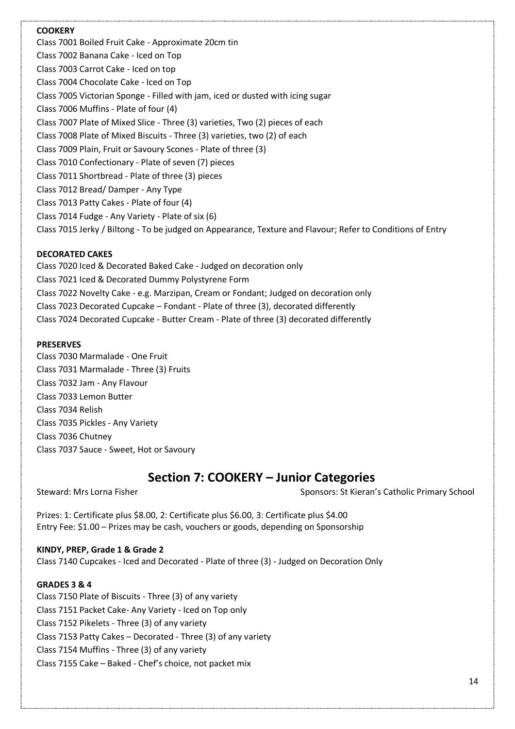#### **COOKERY**

Class 7001 Boiled Fruit Cake - Approximate 20cm tin Class 7002 Banana Cake - Iced on Top Class 7003 Carrot Cake - Iced on top Class 7004 Chocolate Cake - Iced on Top Class 7005 Victorian Sponge - Filled with jam, iced or dusted with icing sugar Class 7006 Muffins - Plate of four (4) Class 7007 Plate of Mixed Slice - Three (3) varieties, Two (2) pieces of each Class 7008 Plate of Mixed Biscuits - Three (3) varieties, two (2) of each Class 7009 Plain, Fruit or Savoury Scones - Plate of three (3) Class 7010 Confectionary - Plate of seven (7) pieces Class 7011 Shortbread - Plate of three (3) pieces Class 7012 Bread/ Damper - Any Type Class 7013 Patty Cakes - Plate of four (4) Class 7014 Fudge - Any Variety - Plate of six (6) Class 7015 Jerky / Biltong - To be judged on Appearance, Texture and Flavour; Refer to Conditions of Entry

#### **DECORATED CAKES**

Class 7020 Iced & Decorated Baked Cake - Judged on decoration only Class 7021 Iced & Decorated Dummy Polystyrene Form Class 7022 Novelty Cake - e.g. Marzipan, Cream or Fondant; Judged on decoration only Class 7023 Decorated Cupcake – Fondant - Plate of three (3), decorated differently Class 7024 Decorated Cupcake - Butter Cream - Plate of three (3) decorated differently

#### **PRESERVES**

Class 7030 Marmalade - One Fruit Class 7031 Marmalade - Three (3) Fruits Class 7032 Jam - Any Flavour Class 7033 Lemon Butter Class 7034 Relish Class 7035 Pickles - Any Variety Class 7036 Chutney Class 7037 Sauce - Sweet, Hot or Savoury

## **Section 7: COOKERY – Junior Categories**

Steward: Mrs Lorna Fisher Sponsors: St Kieran's Catholic Primary School

Prizes: 1: Certificate plus \$8.00, 2: Certificate plus \$6.00, 3: Certificate plus \$4.00 Entry Fee: \$1.00 – Prizes may be cash, vouchers or goods, depending on Sponsorship

**KINDY, PREP, Grade 1 & Grade 2** Class 7140 Cupcakes - Iced and Decorated - Plate of three (3) - Judged on Decoration Only

#### **GRADES 3 & 4**

Class 7150 Plate of Biscuits - Three (3) of any variety Class 7151 Packet Cake- Any Variety - Iced on Top only Class 7152 Pikelets - Three (3) of any variety Class 7153 Patty Cakes – Decorated - Three (3) of any variety Class 7154 Muffins - Three (3) of any variety Class 7155 Cake – Baked - Chef's choice, not packet mix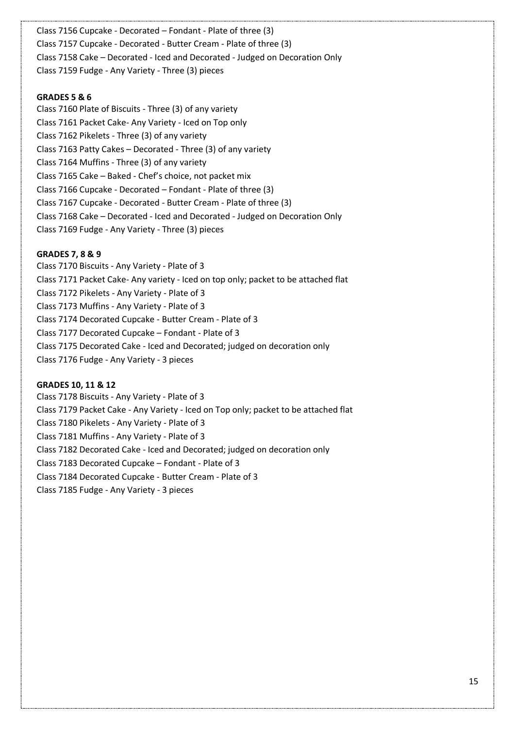Class 7156 Cupcake - Decorated – Fondant - Plate of three (3) Class 7157 Cupcake - Decorated - Butter Cream - Plate of three (3) Class 7158 Cake – Decorated - Iced and Decorated - Judged on Decoration Only Class 7159 Fudge - Any Variety - Three (3) pieces

#### **GRADES 5 & 6**

Class 7160 Plate of Biscuits - Three (3) of any variety Class 7161 Packet Cake- Any Variety - Iced on Top only Class 7162 Pikelets - Three (3) of any variety Class 7163 Patty Cakes – Decorated - Three (3) of any variety Class 7164 Muffins - Three (3) of any variety Class 7165 Cake – Baked - Chef's choice, not packet mix Class 7166 Cupcake - Decorated – Fondant - Plate of three (3) Class 7167 Cupcake - Decorated - Butter Cream - Plate of three (3) Class 7168 Cake – Decorated - Iced and Decorated - Judged on Decoration Only Class 7169 Fudge - Any Variety - Three (3) pieces

#### **GRADES 7, 8 & 9**

Class 7170 Biscuits - Any Variety - Plate of 3 Class 7171 Packet Cake- Any variety - Iced on top only; packet to be attached flat Class 7172 Pikelets - Any Variety - Plate of 3 Class 7173 Muffins - Any Variety - Plate of 3 Class 7174 Decorated Cupcake - Butter Cream - Plate of 3 Class 7177 Decorated Cupcake – Fondant - Plate of 3 Class 7175 Decorated Cake - Iced and Decorated; judged on decoration only Class 7176 Fudge - Any Variety - 3 pieces

#### **GRADES 10, 11 & 12**

Class 7178 Biscuits - Any Variety - Plate of 3 Class 7179 Packet Cake - Any Variety - Iced on Top only; packet to be attached flat Class 7180 Pikelets - Any Variety - Plate of 3 Class 7181 Muffins - Any Variety - Plate of 3 Class 7182 Decorated Cake - Iced and Decorated; judged on decoration only Class 7183 Decorated Cupcake – Fondant - Plate of 3 Class 7184 Decorated Cupcake - Butter Cream - Plate of 3 Class 7185 Fudge - Any Variety - 3 pieces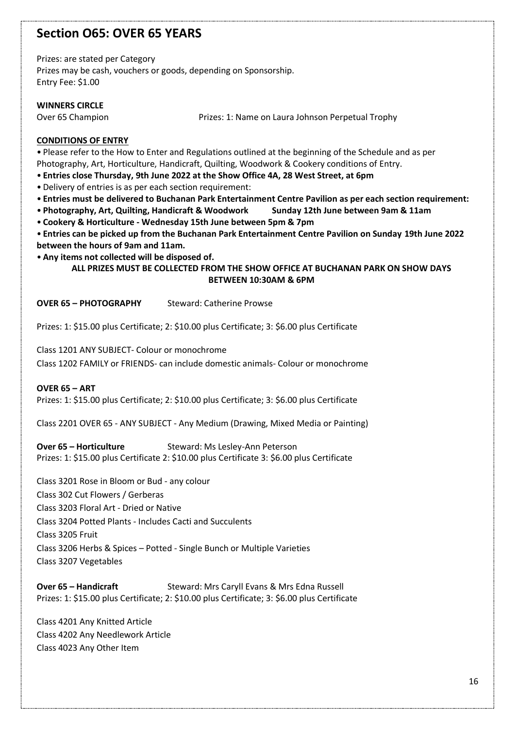### **Section O65: OVER 65 YEARS**

Prizes: are stated per Category

Prizes may be cash, vouchers or goods, depending on Sponsorship. Entry Fee: \$1.00

#### **WINNERS CIRCLE**

Over 65 Champion Prizes: 1: Name on Laura Johnson Perpetual Trophy

#### **CONDITIONS OF ENTRY**

• Please refer to the How to Enter and Regulations outlined at the beginning of the Schedule and as per Photography, Art, Horticulture, Handicraft, Quilting, Woodwork & Cookery conditions of Entry.

• **Entries close Thursday, 9th June 2022 at the Show Office 4A, 28 West Street, at 6pm**

• Delivery of entries is as per each section requirement:

• **Entries must be delivered to Buchanan Park Entertainment Centre Pavilion as per each section requirement:**

- **Photography, Art, Quilting, Handicraft & Woodwork Sunday 12th June between 9am & 11am**
- **Cookery & Horticulture - Wednesday 15th June between 5pm & 7pm**

• **Entries can be picked up from the Buchanan Park Entertainment Centre Pavilion on Sunday 19th June 2022 between the hours of 9am and 11am.**

• **Any items not collected will be disposed of.**

#### **ALL PRIZES MUST BE COLLECTED FROM THE SHOW OFFICE AT BUCHANAN PARK ON SHOW DAYS BETWEEN 10:30AM & 6PM**

**OVER 65 – PHOTOGRAPHY** Steward: Catherine Prowse

Prizes: 1: \$15.00 plus Certificate; 2: \$10.00 plus Certificate; 3: \$6.00 plus Certificate

Class 1201 ANY SUBJECT- Colour or monochrome Class 1202 FAMILY or FRIENDS- can include domestic animals- Colour or monochrome

**OVER 65 – ART** Prizes: 1: \$15.00 plus Certificate; 2: \$10.00 plus Certificate; 3: \$6.00 plus Certificate

Class 2201 OVER 65 - ANY SUBJECT - Any Medium (Drawing, Mixed Media or Painting)

**Over 65 – Horticulture** Steward: Ms Lesley-Ann Peterson

Prizes: 1: \$15.00 plus Certificate 2: \$10.00 plus Certificate 3: \$6.00 plus Certificate

Class 3201 Rose in Bloom or Bud - any colour Class 302 Cut Flowers / Gerberas Class 3203 Floral Art - Dried or Native Class 3204 Potted Plants - Includes Cacti and Succulents Class 3205 Fruit Class 3206 Herbs & Spices – Potted - Single Bunch or Multiple Varieties Class 3207 Vegetables

**Over 65 – Handicraft** Steward: Mrs Caryll Evans & Mrs Edna Russell Prizes: 1: \$15.00 plus Certificate; 2: \$10.00 plus Certificate; 3: \$6.00 plus Certificate

Class 4201 Any Knitted Article Class 4202 Any Needlework Article Class 4023 Any Other Item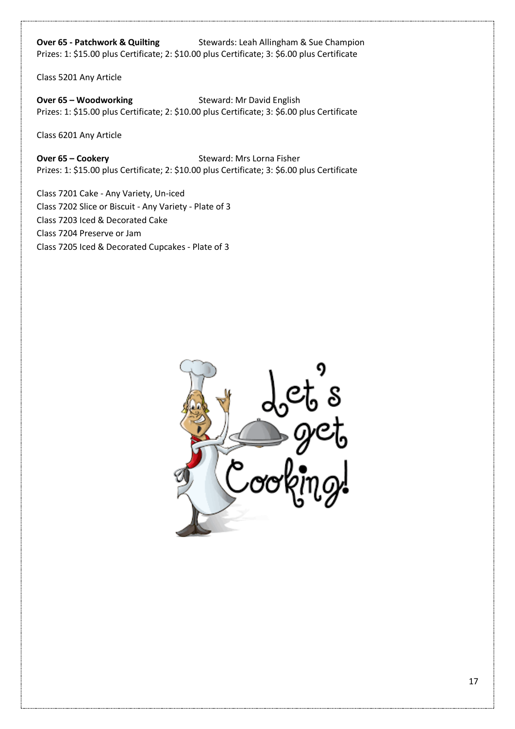**Over 65 - Patchwork & Quilting** Stewards: Leah Allingham & Sue Champion Prizes: 1: \$15.00 plus Certificate; 2: \$10.00 plus Certificate; 3: \$6.00 plus Certificate

Class 5201 Any Article

**Over 65 – Woodworking Steward: Mr David English** Prizes: 1: \$15.00 plus Certificate; 2: \$10.00 plus Certificate; 3: \$6.00 plus Certificate

Class 6201 Any Article

**Over 65 – Cookery** Steward: Mrs Lorna Fisher Prizes: 1: \$15.00 plus Certificate; 2: \$10.00 plus Certificate; 3: \$6.00 plus Certificate

Class 7201 Cake - Any Variety, Un-iced Class 7202 Slice or Biscuit - Any Variety - Plate of 3 Class 7203 Iced & Decorated Cake Class 7204 Preserve or Jam Class 7205 Iced & Decorated Cupcakes - Plate of 3

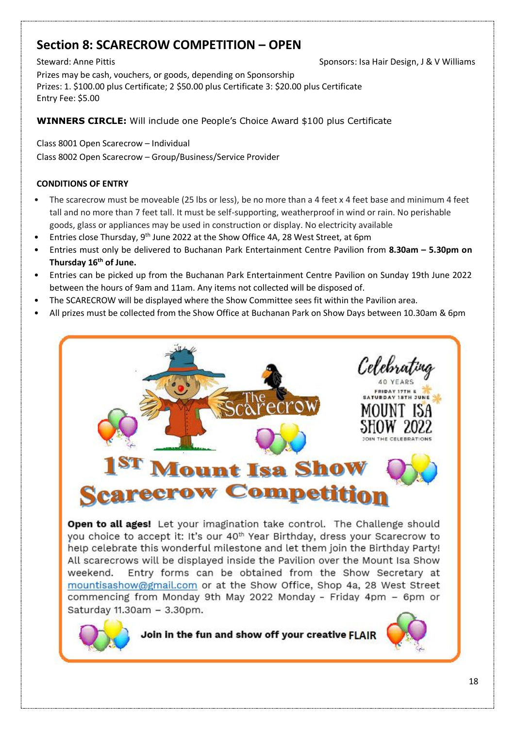## **Section 8: SCARECROW COMPETITION – OPEN**

Steward: Anne Pittis Sponsors: Isa Hair Design, J & V Williams Prizes may be cash, vouchers, or goods, depending on Sponsorship Prizes: 1. \$100.00 plus Certificate; 2 \$50.00 plus Certificate 3: \$20.00 plus Certificate Entry Fee: \$5.00

**WINNERS CIRCLE:** Will include one People's Choice Award \$100 plus Certificate

Class 8001 Open Scarecrow – Individual Class 8002 Open Scarecrow – Group/Business/Service Provider

#### **CONDITIONS OF ENTRY**

- The scarecrow must be moveable (25 lbs or less), be no more than a 4 feet x 4 feet base and minimum 4 feet tall and no more than 7 feet tall. It must be self-supporting, weatherproof in wind or rain. No perishable goods, glass or appliances may be used in construction or display. No electricity available
- Entries close Thursday, 9<sup>th</sup> June 2022 at the Show Office 4A, 28 West Street, at 6pm
- Entries must only be delivered to Buchanan Park Entertainment Centre Pavilion from **8.30am – 5.30pm on Thursday 16th of June.**
- Entries can be picked up from the Buchanan Park Entertainment Centre Pavilion on Sunday 19th June 2022 between the hours of 9am and 11am. Any items not collected will be disposed of.
- The SCARECROW will be displayed where the Show Committee sees fit within the Pavilion area.
- All prizes must be collected from the Show Office at Buchanan Park on Show Days between 10.30am & 6pm



Open to all ages! Let your imagination take control. The Challenge should you choice to accept it: It's our 40<sup>th</sup> Year Birthday, dress your Scarecrow to hetp celebrate this wonderful milestone and let them join the Birthday Party! All scarecrows will be displayed inside the Pavilion over the Mount Isa Show Entry forms can be obtained from the Show Secretary at weekend. mountisashow@gmail.com or at the Show Office, Shop 4a, 28 West Street commencing from Monday 9th May 2022 Monday - Friday 4pm - 6pm or Saturday 11.30am - 3.30pm.

Join in the fun and show off your creative FLAIR

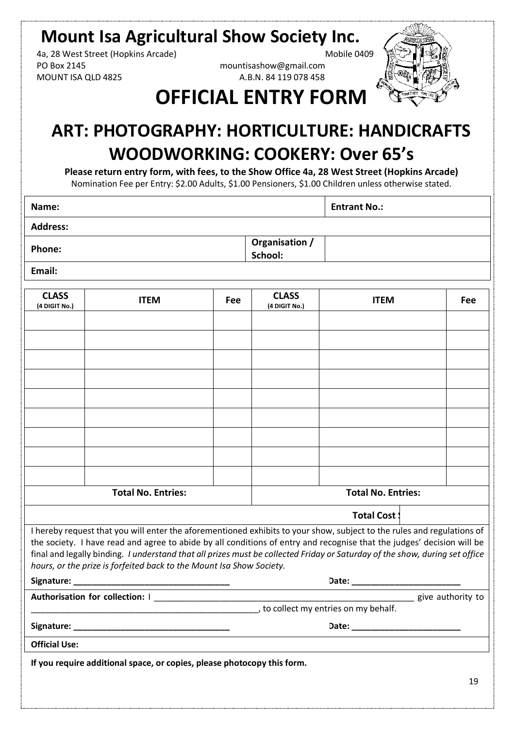## **Mount Isa Agricultural Show Society Inc.**

4a, 28 West Street (Hopkins Arcade) Mobile 0409 PO Box 2145 mountisashow@gmail.com MOUNT ISA QLD 4825 A.B.N. 84 119 078 458



## **OFFICIAL ENTRY FORM**

## **ART: PHOTOGRAPHY: HORTICULTURE: HANDICRAFTS WOODWORKING: COOKERY: Over 65's**

**Please return entry form, with fees, to the Show Office 4a, 28 West Street (Hopkins Arcade)** Nomination Fee per Entry: \$2.00 Adults, \$1.00 Pensioners, \$1.00 Children unless otherwise stated.

**Name: Entrant No.:**

| <b>Address:</b> |  |
|-----------------|--|
|-----------------|--|

**Phone: Phone: Phone: Phone: Phone: Phone: Phone: Phone: Phone: Phone: Phone: Phone: Phone: Phone: Phone: Phone: Phone: Phone: Phone: Phone: Phone: Phone: Phone: Phone: Phone School:**

**Email:**

| <b>CLASS</b><br>(4 DIGIT No.) | <b>ITEM</b>                                                                                                                                                                                                                                                                                                                                                                                                                                             | Fee | <b>CLASS</b><br>(4 DIGIT No.) | <b>ITEM</b>                         | Fee |
|-------------------------------|---------------------------------------------------------------------------------------------------------------------------------------------------------------------------------------------------------------------------------------------------------------------------------------------------------------------------------------------------------------------------------------------------------------------------------------------------------|-----|-------------------------------|-------------------------------------|-----|
|                               |                                                                                                                                                                                                                                                                                                                                                                                                                                                         |     |                               |                                     |     |
|                               |                                                                                                                                                                                                                                                                                                                                                                                                                                                         |     |                               |                                     |     |
|                               |                                                                                                                                                                                                                                                                                                                                                                                                                                                         |     |                               |                                     |     |
|                               |                                                                                                                                                                                                                                                                                                                                                                                                                                                         |     |                               |                                     |     |
|                               |                                                                                                                                                                                                                                                                                                                                                                                                                                                         |     |                               |                                     |     |
|                               |                                                                                                                                                                                                                                                                                                                                                                                                                                                         |     |                               |                                     |     |
|                               |                                                                                                                                                                                                                                                                                                                                                                                                                                                         |     |                               |                                     |     |
|                               |                                                                                                                                                                                                                                                                                                                                                                                                                                                         |     |                               |                                     |     |
|                               |                                                                                                                                                                                                                                                                                                                                                                                                                                                         |     |                               |                                     |     |
|                               |                                                                                                                                                                                                                                                                                                                                                                                                                                                         |     |                               |                                     |     |
|                               | <b>Total No. Entries:</b>                                                                                                                                                                                                                                                                                                                                                                                                                               |     |                               | <b>Total No. Entries:</b>           |     |
|                               |                                                                                                                                                                                                                                                                                                                                                                                                                                                         |     |                               | <b>Total Cost:</b>                  |     |
|                               | I hereby request that you will enter the aforementioned exhibits to your show, subject to the rules and regulations of<br>the society. I have read and agree to abide by all conditions of entry and recognise that the judges' decision will be<br>final and legally binding. I understand that all prizes must be collected Friday or Saturday of the show, during set office<br>hours, or the prize is forfeited back to the Mount Isa Show Society. |     |                               |                                     |     |
|                               |                                                                                                                                                                                                                                                                                                                                                                                                                                                         |     |                               |                                     |     |
|                               |                                                                                                                                                                                                                                                                                                                                                                                                                                                         |     |                               |                                     |     |
|                               |                                                                                                                                                                                                                                                                                                                                                                                                                                                         |     |                               | to collect my entries on my behalf. |     |
|                               |                                                                                                                                                                                                                                                                                                                                                                                                                                                         |     |                               |                                     |     |
| <b>Official Use:</b>          |                                                                                                                                                                                                                                                                                                                                                                                                                                                         |     |                               |                                     |     |
|                               | If you require additional space, or copies, please photocopy this form.                                                                                                                                                                                                                                                                                                                                                                                 |     |                               |                                     |     |
|                               |                                                                                                                                                                                                                                                                                                                                                                                                                                                         |     |                               |                                     | 19  |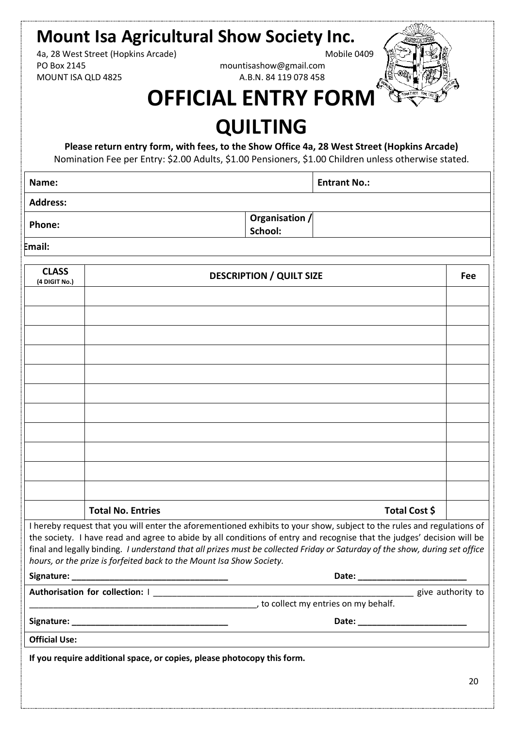# **Mount Isa Agricultural Show Society Inc.**<br>4a. 28 West Street (Hopkins Arcade)<br>Mobile 0409

4a, 28 West Street (Hopkins Arcade) PO Box 2145 mountisashow@gmail.com MOUNT ISA QLD 4825 A.B.N. 84 119 078 458



## **OFFICIAL ENTRY FORM**

## **QUILTING**

**Please return entry form, with fees, to the Show Office 4a, 28 West Street (Hopkins Arcade)**

Nomination Fee per Entry: \$2.00 Adults, \$1.00 Pensioners, \$1.00 Children unless otherwise stated.

**Name: Entrant No.:**

**Address:**

**Phone: Phone: Phone: Phone: Phone: Phone: Phone: Phone: Phone: Phone: Phone: Phone: Phone: Phone: Phone: Phone: Phone: Phone: Phone: Phone: Phone: Phone: Phone: Phone: Phone School:**

**Email:**

| <b>CLASS</b><br>(4 DIGIT No.) | <b>DESCRIPTION / QUILT SIZE</b>                                                                                                                                                                                                                                                                                                                                                                                                                         | Fee |
|-------------------------------|---------------------------------------------------------------------------------------------------------------------------------------------------------------------------------------------------------------------------------------------------------------------------------------------------------------------------------------------------------------------------------------------------------------------------------------------------------|-----|
|                               |                                                                                                                                                                                                                                                                                                                                                                                                                                                         |     |
|                               |                                                                                                                                                                                                                                                                                                                                                                                                                                                         |     |
|                               |                                                                                                                                                                                                                                                                                                                                                                                                                                                         |     |
|                               |                                                                                                                                                                                                                                                                                                                                                                                                                                                         |     |
|                               |                                                                                                                                                                                                                                                                                                                                                                                                                                                         |     |
|                               |                                                                                                                                                                                                                                                                                                                                                                                                                                                         |     |
|                               |                                                                                                                                                                                                                                                                                                                                                                                                                                                         |     |
|                               |                                                                                                                                                                                                                                                                                                                                                                                                                                                         |     |
|                               |                                                                                                                                                                                                                                                                                                                                                                                                                                                         |     |
|                               |                                                                                                                                                                                                                                                                                                                                                                                                                                                         |     |
|                               |                                                                                                                                                                                                                                                                                                                                                                                                                                                         |     |
|                               |                                                                                                                                                                                                                                                                                                                                                                                                                                                         |     |
|                               | <b>Total No. Entries</b><br>Total Cost \$                                                                                                                                                                                                                                                                                                                                                                                                               |     |
|                               | I hereby request that you will enter the aforementioned exhibits to your show, subject to the rules and regulations of<br>the society. I have read and agree to abide by all conditions of entry and recognise that the judges' decision will be<br>final and legally binding. I understand that all prizes must be collected Friday or Saturday of the show, during set office<br>hours, or the prize is forfeited back to the Mount Isa Show Society. |     |
|                               |                                                                                                                                                                                                                                                                                                                                                                                                                                                         |     |
|                               | and the collect my entries on my behalf.                                                                                                                                                                                                                                                                                                                                                                                                                |     |
|                               |                                                                                                                                                                                                                                                                                                                                                                                                                                                         |     |
| <b>Official Use:</b>          |                                                                                                                                                                                                                                                                                                                                                                                                                                                         |     |
|                               | If you require additional space, or copies, please photocopy this form.                                                                                                                                                                                                                                                                                                                                                                                 |     |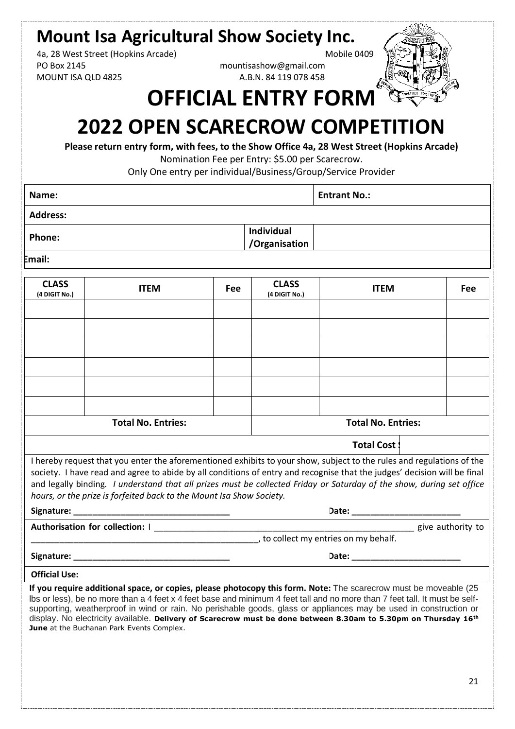## **Mount Isa Agricultural Show Society Inc.**

4a, 28 West Street (Hopkins Arcade) Mobile 0409 PO Box 2145 mountisashow@gmail.com MOUNT ISA QLD 4825 A.B.N. 84 119 078 458



## **OFFICIAL ENTRY FORM**

## **2022 OPEN SCARECROW COMPETITION**

**Please return entry form, with fees, to the Show Office 4a, 28 West Street (Hopkins Arcade)** Nomination Fee per Entry: \$5.00 per Scarecrow.

Only One entry per individual/Business/Group/Service Provider

| Name:            |                             | <b>Entrant No.:</b> |
|------------------|-----------------------------|---------------------|
| <b>Address:</b>  |                             |                     |
| <b>Phone:</b>    | Individual<br>/Organisation |                     |
| الملاحمة والمراج |                             |                     |

**Email:**

| <b>CLASS</b><br>(4 DIGIT No.)                                                                                                                                                                                                                                                                                                                                                                                                                      | <b>ITEM</b>                                                                                                                                                                                                                                                                                                                                                                                                                                                                             | Fee | <b>CLASS</b><br>(4 DIGIT No.) | <b>ITEM</b>                   | <b>Fee</b> |
|----------------------------------------------------------------------------------------------------------------------------------------------------------------------------------------------------------------------------------------------------------------------------------------------------------------------------------------------------------------------------------------------------------------------------------------------------|-----------------------------------------------------------------------------------------------------------------------------------------------------------------------------------------------------------------------------------------------------------------------------------------------------------------------------------------------------------------------------------------------------------------------------------------------------------------------------------------|-----|-------------------------------|-------------------------------|------------|
|                                                                                                                                                                                                                                                                                                                                                                                                                                                    |                                                                                                                                                                                                                                                                                                                                                                                                                                                                                         |     |                               |                               |            |
|                                                                                                                                                                                                                                                                                                                                                                                                                                                    |                                                                                                                                                                                                                                                                                                                                                                                                                                                                                         |     |                               |                               |            |
|                                                                                                                                                                                                                                                                                                                                                                                                                                                    |                                                                                                                                                                                                                                                                                                                                                                                                                                                                                         |     |                               |                               |            |
|                                                                                                                                                                                                                                                                                                                                                                                                                                                    |                                                                                                                                                                                                                                                                                                                                                                                                                                                                                         |     |                               |                               |            |
|                                                                                                                                                                                                                                                                                                                                                                                                                                                    |                                                                                                                                                                                                                                                                                                                                                                                                                                                                                         |     |                               |                               |            |
|                                                                                                                                                                                                                                                                                                                                                                                                                                                    |                                                                                                                                                                                                                                                                                                                                                                                                                                                                                         |     |                               |                               |            |
|                                                                                                                                                                                                                                                                                                                                                                                                                                                    |                                                                                                                                                                                                                                                                                                                                                                                                                                                                                         |     |                               |                               |            |
|                                                                                                                                                                                                                                                                                                                                                                                                                                                    | <b>Total No. Entries:</b>                                                                                                                                                                                                                                                                                                                                                                                                                                                               |     |                               | <b>Total No. Entries:</b>     |            |
|                                                                                                                                                                                                                                                                                                                                                                                                                                                    |                                                                                                                                                                                                                                                                                                                                                                                                                                                                                         |     |                               |                               |            |
|                                                                                                                                                                                                                                                                                                                                                                                                                                                    |                                                                                                                                                                                                                                                                                                                                                                                                                                                                                         |     |                               | <b>Total Cost:</b>            |            |
| I hereby request that you enter the aforementioned exhibits to your show, subject to the rules and regulations of the<br>society. I have read and agree to abide by all conditions of entry and recognise that the judges' decision will be final<br>and legally binding. I understand that all prizes must be collected Friday or Saturday of the show, during set office<br>hours, or the prize is forfeited back to the Mount Isa Show Society. |                                                                                                                                                                                                                                                                                                                                                                                                                                                                                         |     |                               |                               |            |
|                                                                                                                                                                                                                                                                                                                                                                                                                                                    |                                                                                                                                                                                                                                                                                                                                                                                                                                                                                         |     |                               |                               |            |
|                                                                                                                                                                                                                                                                                                                                                                                                                                                    |                                                                                                                                                                                                                                                                                                                                                                                                                                                                                         |     |                               | <b>2008</b> give authority to |            |
|                                                                                                                                                                                                                                                                                                                                                                                                                                                    | __________________________________, to collect my entries on my behalf.                                                                                                                                                                                                                                                                                                                                                                                                                 |     |                               |                               |            |
|                                                                                                                                                                                                                                                                                                                                                                                                                                                    | Date: _________________________                                                                                                                                                                                                                                                                                                                                                                                                                                                         |     |                               |                               |            |
| <b>Official Use:</b>                                                                                                                                                                                                                                                                                                                                                                                                                               |                                                                                                                                                                                                                                                                                                                                                                                                                                                                                         |     |                               |                               |            |
|                                                                                                                                                                                                                                                                                                                                                                                                                                                    | If you require additional space, or copies, please photocopy this form. Note: The scarecrow must be moveable (25<br>Ibs or less), be no more than a 4 feet x 4 feet base and minimum 4 feet tall and no more than 7 feet tall. It must be self-<br>supporting, weatherproof in wind or rain. No perishable goods, glass or appliances may be used in construction or<br>display. No electricity available. Delivery of Scarecrow must be done between 8.30am to 5.30pm on Thursday 16th |     |                               |                               |            |

June at the Buchanan Park Events Complex.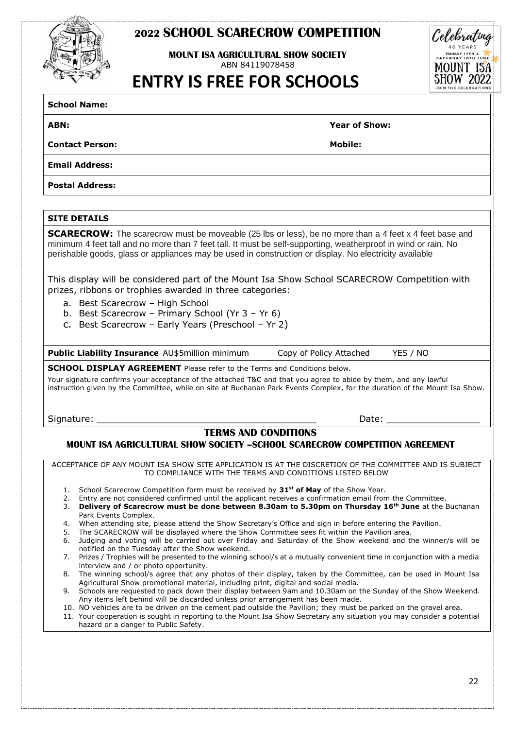### **2022 SCHOOL SCARECROW COMPETITION**

**MOUNT ISA AGRICULTURAL SHOW SOCIFTY** ABN 84119078458

 **ENTRY IS FREE FOR SCHOOLS**

**School Name:**

**ABN: Year of Show:**

**Contact Person: Mobile:**

**Email Address:**

**Postal Address:**

#### **SITE DETAILS**

**SCARECROW:** The scarecrow must be moveable (25 lbs or less), be no more than a 4 feet x 4 feet base and minimum 4 feet tall and no more than 7 feet tall. It must be self-supporting, weatherproof in wind or rain. No perishable goods, glass or appliances may be used in construction or display. No electricity available

This display will be considered part of the Mount Isa Show School SCARECROW Competition with prizes, ribbons or trophies awarded in three categories:

- a. Best Scarecrow High School
- b. Best Scarecrow Primary School (Yr 3 Yr 6)
- c. Best Scarecrow Early Years (Preschool Yr 2)

**Public Liability Insurance** AU\$5million minimum Copy of Policy Attached YES / NO

#### **SCHOOL DISPLAY AGREEMENT** Please refer to the Terms and Conditions below.

Your signature confirms your acceptance of the attached T&C and that you agree to abide by them, and any lawful instruction given by the Committee, while on site at Buchanan Park Events Complex, for the duration of the Mount Isa Show.

Signature: \_\_\_\_\_\_\_\_\_\_\_\_\_\_\_\_\_\_\_\_\_\_\_\_\_\_\_\_\_\_\_\_\_\_\_\_\_\_\_\_ Date: \_\_\_\_\_\_\_\_\_\_\_\_\_\_\_\_\_

### **TERMS AND CONDITIONS**

#### **MOUNT ISA AGRICULTURAL SHOW SOCIETY –SCHOOL SCARECROW COMPETITION AGREEMENT**

ACCEPTANCE OF ANY MOUNT ISA SHOW SITE APPLICATION IS AT THE DISCRETION OF THE COMMITTEE AND IS SUBJECT TO COMPLIANCE WITH THE TERMS AND CONDITIONS LISTED BELOW

- 1. School Scarecrow Competition form must be received by **31st of May** of the Show Year.
- 2. Entry are not considered confirmed until the applicant receives a confirmation email from the Committee.
- 3. **Delivery of Scarecrow must be done between 8.30am to 5.30pm on Thursday 16th June** at the Buchanan Park Events Complex.
- 4. When attending site, please attend the Show Secretary's Office and sign in before entering the Pavilion.
- 5. The SCARECROW will be displayed where the Show Committee sees fit within the Pavilion area.
- 6. Judging and voting will be carried out over Friday and Saturday of the Show weekend and the winner/s will be notified on the Tuesday after the Show weekend.
- 7. Prizes / Trophies will be presented to the winning school/s at a mutually convenient time in conjunction with a media interview and / or photo opportunity.
- 8. The winning school/s agree that any photos of their display, taken by the Committee, can be used in Mount Isa Agricultural Show promotional material, including print, digital and social media.
- 9. Schools are requested to pack down their display between 9am and 10.30am on the Sunday of the Show Weekend. Any items left behind will be discarded unless prior arrangement has been made.
- 10. NO vehicles are to be driven on the cement pad outside the Pavilion; they must be parked on the gravel area.
- 11. Your cooperation is sought in reporting to the Mount Isa Show Secretary any situation you may consider a potential hazard or a danger to Public Safety.

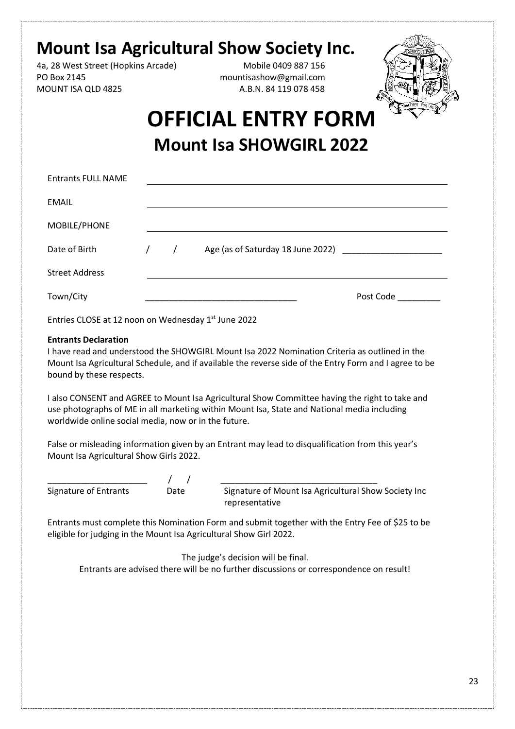## **Mount Isa Agricultural Show Society Inc.**

4a, 28 West Street (Hopkins Arcade) Mobile 0409 887 156 PO Box 2145 mountisashow@gmail.com MOUNT ISA QLD 4825 A.B.N. 84 119 078 458



## **OFFICIAL ENTRY FORM Mount Isa SHOWGIRL 2022**

| <b>Entrants FULL NAME</b>                           |            |                                                                                                        |
|-----------------------------------------------------|------------|--------------------------------------------------------------------------------------------------------|
| <b>EMAIL</b>                                        |            |                                                                                                        |
| MOBILE/PHONE                                        |            |                                                                                                        |
| Date of Birth                                       | $\sqrt{2}$ | Age (as of Saturday 18 June 2022)                                                                      |
| <b>Street Address</b>                               |            |                                                                                                        |
| Town/City                                           |            | Post Code                                                                                              |
| Entries CLOSE at 12 noon on Wednesday 1st June 2022 |            |                                                                                                        |
| <b>Entrants Declaration</b>                         |            |                                                                                                        |
|                                                     |            | I have read and understood the SHOWGIRL Mount Isa 2022 Nomination Criteria as outlined in the          |
|                                                     |            | Mount Isa Agricultural Schedule, and if available the reverse side of the Entry Form and I agree to be |
| bound by these respects.                            |            |                                                                                                        |

I also CONSENT and AGREE to Mount Isa Agricultural Show Committee having the right to take and use photographs of ME in all marketing within Mount Isa, State and National media including worldwide online social media, now or in the future.

False or misleading information given by an Entrant may lead to disqualification from this year's Mount Isa Agricultural Show Girls 2022.

\_\_\_\_\_\_\_\_\_\_\_\_\_\_\_\_\_\_\_\_\_ / / \_\_\_\_\_\_\_\_\_\_\_\_\_\_\_\_\_\_\_\_\_\_\_\_\_\_\_\_\_\_\_\_\_

Signature of Entrants Date Signature of Mount Isa Agricultural Show Society Inc representative

Entrants must complete this Nomination Form and submit together with the Entry Fee of \$25 to be eligible for judging in the Mount Isa Agricultural Show Girl 2022.

The judge's decision will be final. Entrants are advised there will be no further discussions or correspondence on result!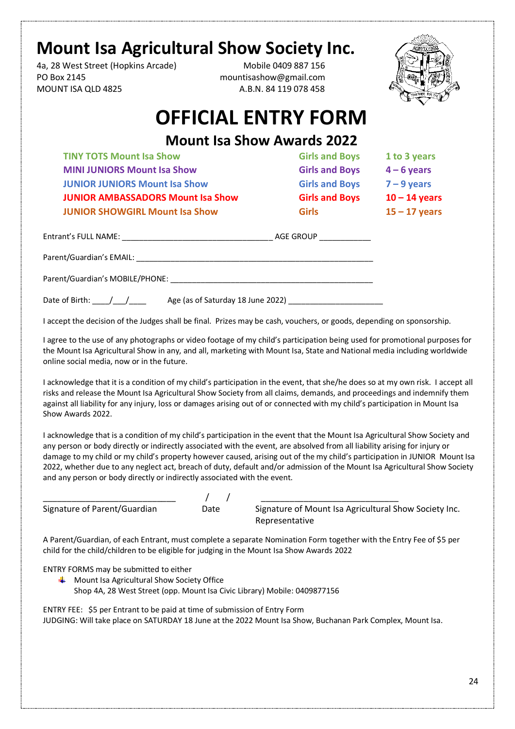## **Mount Isa Agricultural Show Society Inc.**

4a, 28 West Street (Hopkins Arcade) Mobile 0409 887 156 PO Box 2145 mountisashow@gmail.com MOUNT ISA QLD 4825 A.B.N. 84 119 078 458



## **OFFICIAL ENTRY FORM**

## **Mount Isa Show Awards 2022**

**TINY TOTS Mount Isa Show Girls and Boys 1 to 3 years MINI JUNIORS Mount Isa Show Girls and Boys 4 – 6 years JUNIOR JUNIORS Mount Isa Show Girls and Boys 7 – 9 years JUNIOR AMBASSADORS Mount Isa Show Girls and Boys 10 – 14 years JUNIOR SHOWGIRL Mount Isa Show Girls 15 – 17 years** 

| Entrant's FULL NAME:            | AGE GROUP                         |  |
|---------------------------------|-----------------------------------|--|
| Parent/Guardian's EMAIL:        |                                   |  |
| Parent/Guardian's MOBILE/PHONE: |                                   |  |
| Date of Birth:                  | Age (as of Saturday 18 June 2022) |  |

I accept the decision of the Judges shall be final. Prizes may be cash, vouchers, or goods, depending on sponsorship.

I agree to the use of any photographs or video footage of my child's participation being used for promotional purposes for the Mount Isa Agricultural Show in any, and all, marketing with Mount Isa, State and National media including worldwide online social media, now or in the future.

I acknowledge that it is a condition of my child's participation in the event, that she/he does so at my own risk. I accept all risks and release the Mount Isa Agricultural Show Society from all claims, demands, and proceedings and indemnify them against all liability for any injury, loss or damages arising out of or connected with my child's participation in Mount Isa Show Awards 2022.

I acknowledge that is a condition of my child's participation in the event that the Mount Isa Agricultural Show Society and any person or body directly or indirectly associated with the event, are absolved from all liability arising for injury or damage to my child or my child's property however caused, arising out of the my child's participation in JUNIOR Mount Isa 2022, whether due to any neglect act, breach of duty, default and/or admission of the Mount Isa Agricultural Show Society and any person or body directly or indirectly associated with the event.

#### \_\_\_\_\_\_\_\_\_\_\_\_\_\_\_\_\_\_\_\_\_\_\_\_\_\_\_\_ / / \_\_\_\_\_\_\_\_\_\_\_\_\_\_\_\_\_\_\_\_\_\_\_\_\_\_\_\_\_

Signature of Parent/Guardian Date Signature of Mount Isa Agricultural Show Society Inc. Representative

A Parent/Guardian, of each Entrant, must complete a separate Nomination Form together with the Entry Fee of \$5 per child for the child/children to be eligible for judging in the Mount Isa Show Awards 2022

ENTRY FORMS may be submitted to either

 $\frac{1}{\sqrt{2}}$  Mount Isa Agricultural Show Society Office Shop 4A, 28 West Street (opp. Mount Isa Civic Library) Mobile: 0409877156

ENTRY FEE: \$5 per Entrant to be paid at time of submission of Entry Form JUDGING: Will take place on SATURDAY 18 June at the 2022 Mount Isa Show, Buchanan Park Complex, Mount Isa.